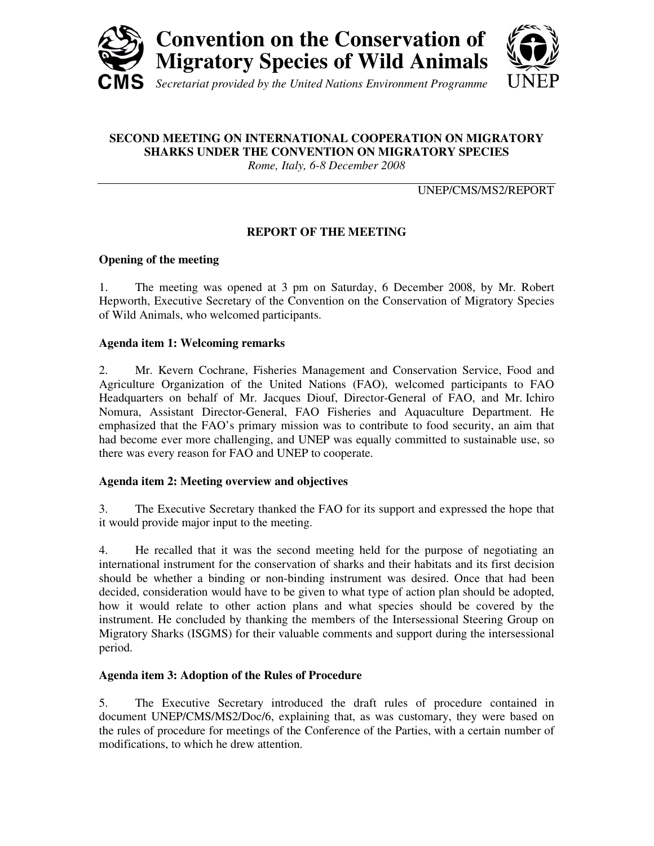

# **SECOND MEETING ON INTERNATIONAL COOPERATION ON MIGRATORY SHARKS UNDER THE CONVENTION ON MIGRATORY SPECIES**

*Rome, Italy, 6-8 December 2008*

UNEP/CMS/MS2/REPORT

# **REPORT OF THE MEETING**

## **Opening of the meeting**

1. The meeting was opened at 3 pm on Saturday, 6 December 2008, by Mr. Robert Hepworth, Executive Secretary of the Convention on the Conservation of Migratory Species of Wild Animals, who welcomed participants.

## **Agenda item 1: Welcoming remarks**

2. Mr. Kevern Cochrane, Fisheries Management and Conservation Service, Food and Agriculture Organization of the United Nations (FAO), welcomed participants to FAO Headquarters on behalf of Mr. Jacques Diouf, Director-General of FAO, and Mr. Ichiro Nomura, Assistant Director-General, FAO Fisheries and Aquaculture Department. He emphasized that the FAO's primary mission was to contribute to food security, an aim that had become ever more challenging, and UNEP was equally committed to sustainable use, so there was every reason for FAO and UNEP to cooperate.

## **Agenda item 2: Meeting overview and objectives**

3. The Executive Secretary thanked the FAO for its support and expressed the hope that it would provide major input to the meeting.

4. He recalled that it was the second meeting held for the purpose of negotiating an international instrument for the conservation of sharks and their habitats and its first decision should be whether a binding or non-binding instrument was desired. Once that had been decided, consideration would have to be given to what type of action plan should be adopted, how it would relate to other action plans and what species should be covered by the instrument. He concluded by thanking the members of the Intersessional Steering Group on Migratory Sharks (ISGMS) for their valuable comments and support during the intersessional period.

## **Agenda item 3: Adoption of the Rules of Procedure**

5. The Executive Secretary introduced the draft rules of procedure contained in document UNEP/CMS/MS2/Doc/6, explaining that, as was customary, they were based on the rules of procedure for meetings of the Conference of the Parties, with a certain number of modifications, to which he drew attention.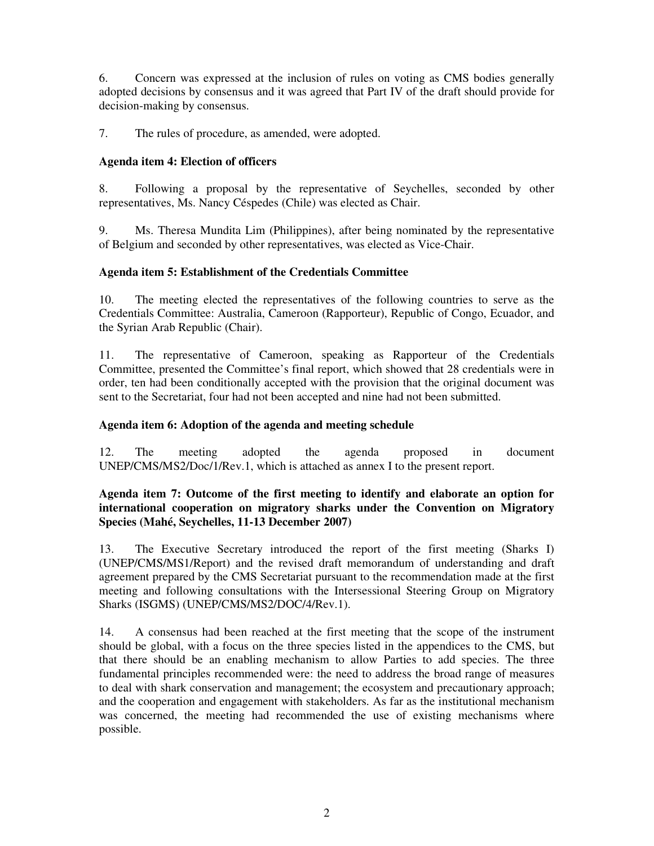6. Concern was expressed at the inclusion of rules on voting as CMS bodies generally adopted decisions by consensus and it was agreed that Part IV of the draft should provide for decision-making by consensus.

7. The rules of procedure, as amended, were adopted.

## **Agenda item 4: Election of officers**

8. Following a proposal by the representative of Seychelles, seconded by other representatives, Ms. Nancy Céspedes (Chile) was elected as Chair.

9. Ms. Theresa Mundita Lim (Philippines), after being nominated by the representative of Belgium and seconded by other representatives, was elected as Vice-Chair.

## **Agenda item 5: Establishment of the Credentials Committee**

10. The meeting elected the representatives of the following countries to serve as the Credentials Committee: Australia, Cameroon (Rapporteur), Republic of Congo, Ecuador, and the Syrian Arab Republic (Chair).

11. The representative of Cameroon, speaking as Rapporteur of the Credentials Committee, presented the Committee's final report, which showed that 28 credentials were in order, ten had been conditionally accepted with the provision that the original document was sent to the Secretariat, four had not been accepted and nine had not been submitted.

## **Agenda item 6: Adoption of the agenda and meeting schedule**

12. The meeting adopted the agenda proposed in document UNEP/CMS/MS2/Doc/1/Rev.1, which is attached as annex I to the present report.

## **Agenda item 7: Outcome of the first meeting to identify and elaborate an option for international cooperation on migratory sharks under the Convention on Migratory Species (Mahé, Seychelles, 11-13 December 2007)**

13. The Executive Secretary introduced the report of the first meeting (Sharks I) (UNEP/CMS/MS1/Report) and the revised draft memorandum of understanding and draft agreement prepared by the CMS Secretariat pursuant to the recommendation made at the first meeting and following consultations with the Intersessional Steering Group on Migratory Sharks (ISGMS) (UNEP/CMS/MS2/DOC/4/Rev.1).

14. A consensus had been reached at the first meeting that the scope of the instrument should be global, with a focus on the three species listed in the appendices to the CMS, but that there should be an enabling mechanism to allow Parties to add species. The three fundamental principles recommended were: the need to address the broad range of measures to deal with shark conservation and management; the ecosystem and precautionary approach; and the cooperation and engagement with stakeholders. As far as the institutional mechanism was concerned, the meeting had recommended the use of existing mechanisms where possible.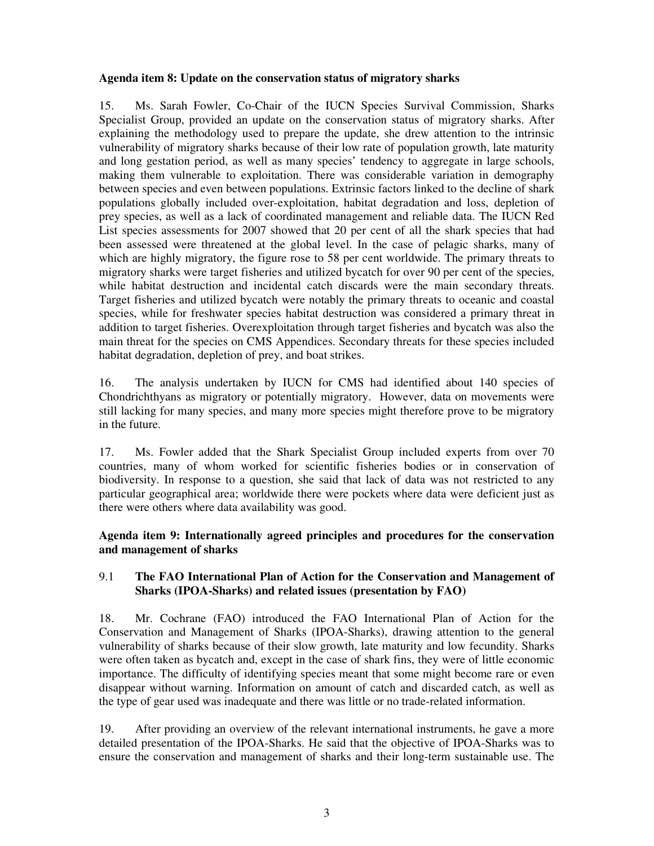## **Agenda item 8: Update on the conservation status of migratory sharks**

15. Ms. Sarah Fowler, Co-Chair of the IUCN Species Survival Commission, Sharks Specialist Group, provided an update on the conservation status of migratory sharks. After explaining the methodology used to prepare the update, she drew attention to the intrinsic vulnerability of migratory sharks because of their low rate of population growth, late maturity and long gestation period, as well as many species' tendency to aggregate in large schools, making them vulnerable to exploitation. There was considerable variation in demography between species and even between populations. Extrinsic factors linked to the decline of shark populations globally included over-exploitation, habitat degradation and loss, depletion of prey species, as well as a lack of coordinated management and reliable data. The IUCN Red List species assessments for 2007 showed that 20 per cent of all the shark species that had been assessed were threatened at the global level. In the case of pelagic sharks, many of which are highly migratory, the figure rose to 58 per cent worldwide. The primary threats to migratory sharks were target fisheries and utilized bycatch for over 90 per cent of the species, while habitat destruction and incidental catch discards were the main secondary threats. Target fisheries and utilized bycatch were notably the primary threats to oceanic and coastal species, while for freshwater species habitat destruction was considered a primary threat in addition to target fisheries. Overexploitation through target fisheries and bycatch was also the main threat for the species on CMS Appendices. Secondary threats for these species included habitat degradation, depletion of prey, and boat strikes.

16. The analysis undertaken by IUCN for CMS had identified about 140 species of Chondrichthyans as migratory or potentially migratory. However, data on movements were still lacking for many species, and many more species might therefore prove to be migratory in the future.

17. Ms. Fowler added that the Shark Specialist Group included experts from over 70 countries, many of whom worked for scientific fisheries bodies or in conservation of biodiversity. In response to a question, she said that lack of data was not restricted to any particular geographical area; worldwide there were pockets where data were deficient just as there were others where data availability was good.

**Agenda item 9: Internationally agreed principles and procedures for the conservation and management of sharks** 

## 9.1 **The FAO International Plan of Action for the Conservation and Management of Sharks (IPOA-Sharks) and related issues (presentation by FAO)**

18. Mr. Cochrane (FAO) introduced the FAO International Plan of Action for the Conservation and Management of Sharks (IPOA-Sharks), drawing attention to the general vulnerability of sharks because of their slow growth, late maturity and low fecundity. Sharks were often taken as bycatch and, except in the case of shark fins, they were of little economic importance. The difficulty of identifying species meant that some might become rare or even disappear without warning. Information on amount of catch and discarded catch, as well as the type of gear used was inadequate and there was little or no trade-related information.

19. After providing an overview of the relevant international instruments, he gave a more detailed presentation of the IPOA-Sharks. He said that the objective of IPOA-Sharks was to ensure the conservation and management of sharks and their long-term sustainable use. The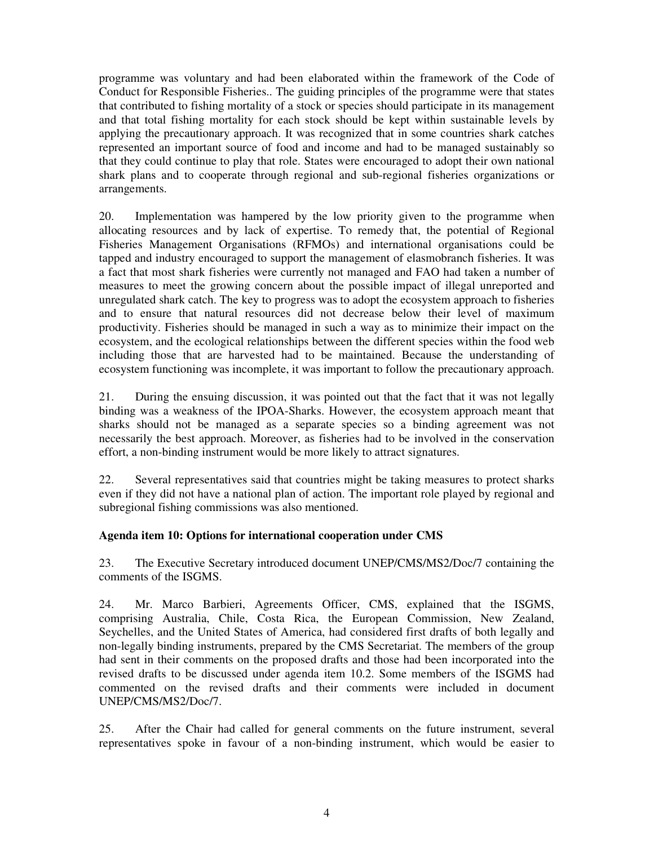programme was voluntary and had been elaborated within the framework of the Code of Conduct for Responsible Fisheries.. The guiding principles of the programme were that states that contributed to fishing mortality of a stock or species should participate in its management and that total fishing mortality for each stock should be kept within sustainable levels by applying the precautionary approach. It was recognized that in some countries shark catches represented an important source of food and income and had to be managed sustainably so that they could continue to play that role. States were encouraged to adopt their own national shark plans and to cooperate through regional and sub-regional fisheries organizations or arrangements.

20. Implementation was hampered by the low priority given to the programme when allocating resources and by lack of expertise. To remedy that, the potential of Regional Fisheries Management Organisations (RFMOs) and international organisations could be tapped and industry encouraged to support the management of elasmobranch fisheries. It was a fact that most shark fisheries were currently not managed and FAO had taken a number of measures to meet the growing concern about the possible impact of illegal unreported and unregulated shark catch. The key to progress was to adopt the ecosystem approach to fisheries and to ensure that natural resources did not decrease below their level of maximum productivity. Fisheries should be managed in such a way as to minimize their impact on the ecosystem, and the ecological relationships between the different species within the food web including those that are harvested had to be maintained. Because the understanding of ecosystem functioning was incomplete, it was important to follow the precautionary approach.

21. During the ensuing discussion, it was pointed out that the fact that it was not legally binding was a weakness of the IPOA-Sharks. However, the ecosystem approach meant that sharks should not be managed as a separate species so a binding agreement was not necessarily the best approach. Moreover, as fisheries had to be involved in the conservation effort, a non-binding instrument would be more likely to attract signatures.

22. Several representatives said that countries might be taking measures to protect sharks even if they did not have a national plan of action. The important role played by regional and subregional fishing commissions was also mentioned.

## **Agenda item 10: Options for international cooperation under CMS**

23. The Executive Secretary introduced document UNEP/CMS/MS2/Doc/7 containing the comments of the ISGMS.

24. Mr. Marco Barbieri, Agreements Officer, CMS, explained that the ISGMS, comprising Australia, Chile, Costa Rica, the European Commission, New Zealand, Seychelles, and the United States of America, had considered first drafts of both legally and non-legally binding instruments, prepared by the CMS Secretariat. The members of the group had sent in their comments on the proposed drafts and those had been incorporated into the revised drafts to be discussed under agenda item 10.2. Some members of the ISGMS had commented on the revised drafts and their comments were included in document UNEP/CMS/MS2/Doc/7.

25. After the Chair had called for general comments on the future instrument, several representatives spoke in favour of a non-binding instrument, which would be easier to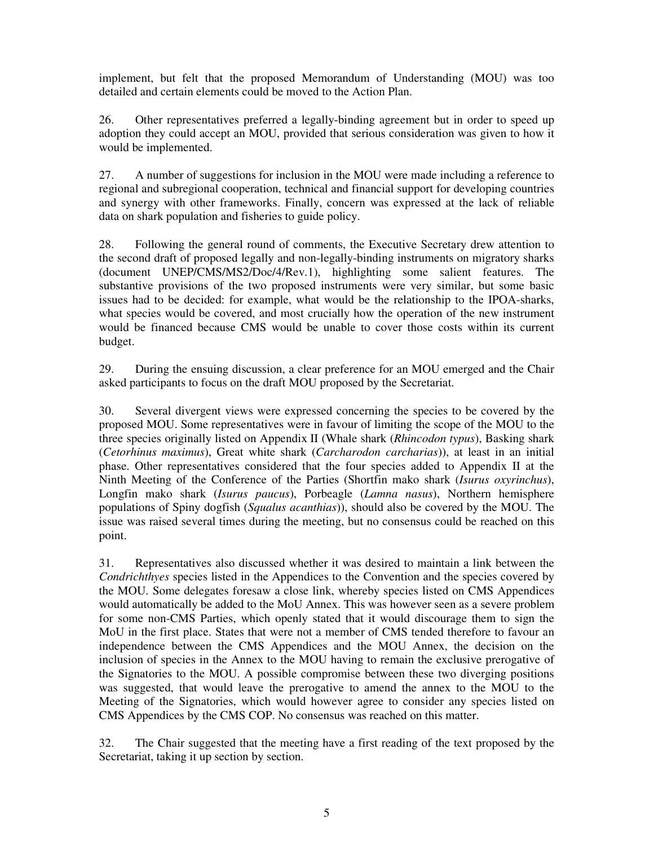implement, but felt that the proposed Memorandum of Understanding (MOU) was too detailed and certain elements could be moved to the Action Plan.

26. Other representatives preferred a legally-binding agreement but in order to speed up adoption they could accept an MOU, provided that serious consideration was given to how it would be implemented.

27. A number of suggestions for inclusion in the MOU were made including a reference to regional and subregional cooperation, technical and financial support for developing countries and synergy with other frameworks. Finally, concern was expressed at the lack of reliable data on shark population and fisheries to guide policy.

28. Following the general round of comments, the Executive Secretary drew attention to the second draft of proposed legally and non-legally-binding instruments on migratory sharks (document UNEP/CMS/MS2/Doc/4/Rev.1), highlighting some salient features. The substantive provisions of the two proposed instruments were very similar, but some basic issues had to be decided: for example, what would be the relationship to the IPOA-sharks, what species would be covered, and most crucially how the operation of the new instrument would be financed because CMS would be unable to cover those costs within its current budget.

29. During the ensuing discussion, a clear preference for an MOU emerged and the Chair asked participants to focus on the draft MOU proposed by the Secretariat.

30. Several divergent views were expressed concerning the species to be covered by the proposed MOU. Some representatives were in favour of limiting the scope of the MOU to the three species originally listed on Appendix II (Whale shark (*Rhincodon typus*), Basking shark (*Cetorhinus maximus*), Great white shark (*Carcharodon carcharias*)), at least in an initial phase. Other representatives considered that the four species added to Appendix II at the Ninth Meeting of the Conference of the Parties (Shortfin mako shark (*Isurus oxyrinchus*), Longfin mako shark (*Isurus paucus*), Porbeagle (*Lamna nasus*), Northern hemisphere populations of Spiny dogfish (*Squalus acanthias*)), should also be covered by the MOU. The issue was raised several times during the meeting, but no consensus could be reached on this point.

31. Representatives also discussed whether it was desired to maintain a link between the *Condrichthyes* species listed in the Appendices to the Convention and the species covered by the MOU. Some delegates foresaw a close link, whereby species listed on CMS Appendices would automatically be added to the MoU Annex. This was however seen as a severe problem for some non-CMS Parties, which openly stated that it would discourage them to sign the MoU in the first place. States that were not a member of CMS tended therefore to favour an independence between the CMS Appendices and the MOU Annex, the decision on the inclusion of species in the Annex to the MOU having to remain the exclusive prerogative of the Signatories to the MOU. A possible compromise between these two diverging positions was suggested, that would leave the prerogative to amend the annex to the MOU to the Meeting of the Signatories, which would however agree to consider any species listed on CMS Appendices by the CMS COP. No consensus was reached on this matter.

32. The Chair suggested that the meeting have a first reading of the text proposed by the Secretariat, taking it up section by section.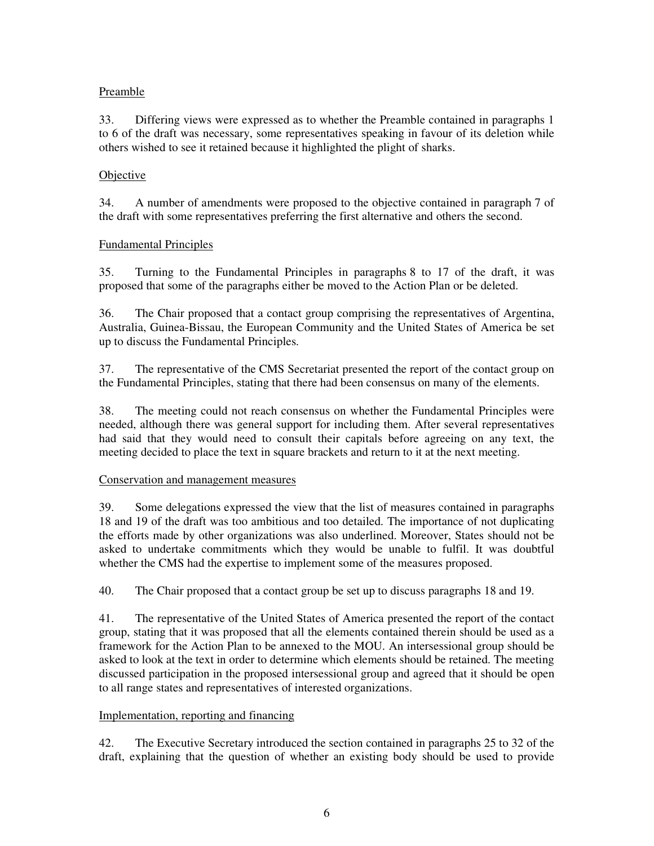## Preamble

33. Differing views were expressed as to whether the Preamble contained in paragraphs 1 to 6 of the draft was necessary, some representatives speaking in favour of its deletion while others wished to see it retained because it highlighted the plight of sharks.

## Objective

34. A number of amendments were proposed to the objective contained in paragraph 7 of the draft with some representatives preferring the first alternative and others the second.

## Fundamental Principles

35. Turning to the Fundamental Principles in paragraphs 8 to 17 of the draft, it was proposed that some of the paragraphs either be moved to the Action Plan or be deleted.

36. The Chair proposed that a contact group comprising the representatives of Argentina, Australia, Guinea-Bissau, the European Community and the United States of America be set up to discuss the Fundamental Principles.

37. The representative of the CMS Secretariat presented the report of the contact group on the Fundamental Principles, stating that there had been consensus on many of the elements.

38. The meeting could not reach consensus on whether the Fundamental Principles were needed, although there was general support for including them. After several representatives had said that they would need to consult their capitals before agreeing on any text, the meeting decided to place the text in square brackets and return to it at the next meeting.

## Conservation and management measures

39. Some delegations expressed the view that the list of measures contained in paragraphs 18 and 19 of the draft was too ambitious and too detailed. The importance of not duplicating the efforts made by other organizations was also underlined. Moreover, States should not be asked to undertake commitments which they would be unable to fulfil. It was doubtful whether the CMS had the expertise to implement some of the measures proposed.

40. The Chair proposed that a contact group be set up to discuss paragraphs 18 and 19.

41. The representative of the United States of America presented the report of the contact group, stating that it was proposed that all the elements contained therein should be used as a framework for the Action Plan to be annexed to the MOU. An intersessional group should be asked to look at the text in order to determine which elements should be retained. The meeting discussed participation in the proposed intersessional group and agreed that it should be open to all range states and representatives of interested organizations.

## Implementation, reporting and financing

42. The Executive Secretary introduced the section contained in paragraphs 25 to 32 of the draft, explaining that the question of whether an existing body should be used to provide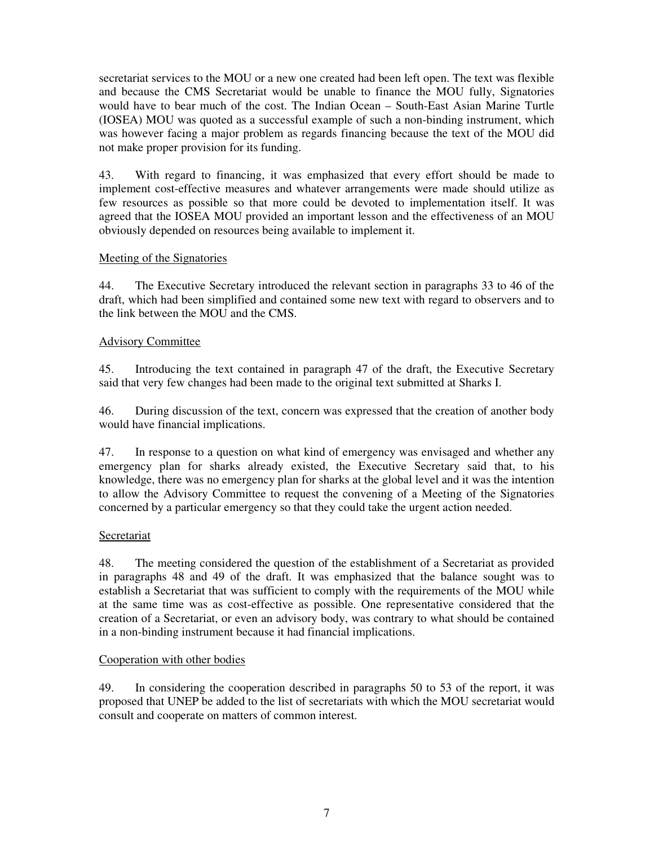secretariat services to the MOU or a new one created had been left open. The text was flexible and because the CMS Secretariat would be unable to finance the MOU fully, Signatories would have to bear much of the cost. The Indian Ocean – South-East Asian Marine Turtle (IOSEA) MOU was quoted as a successful example of such a non-binding instrument, which was however facing a major problem as regards financing because the text of the MOU did not make proper provision for its funding.

43. With regard to financing, it was emphasized that every effort should be made to implement cost-effective measures and whatever arrangements were made should utilize as few resources as possible so that more could be devoted to implementation itself. It was agreed that the IOSEA MOU provided an important lesson and the effectiveness of an MOU obviously depended on resources being available to implement it.

## Meeting of the Signatories

44. The Executive Secretary introduced the relevant section in paragraphs 33 to 46 of the draft, which had been simplified and contained some new text with regard to observers and to the link between the MOU and the CMS.

## Advisory Committee

45. Introducing the text contained in paragraph 47 of the draft, the Executive Secretary said that very few changes had been made to the original text submitted at Sharks I.

46. During discussion of the text, concern was expressed that the creation of another body would have financial implications.

47. In response to a question on what kind of emergency was envisaged and whether any emergency plan for sharks already existed, the Executive Secretary said that, to his knowledge, there was no emergency plan for sharks at the global level and it was the intention to allow the Advisory Committee to request the convening of a Meeting of the Signatories concerned by a particular emergency so that they could take the urgent action needed.

## Secretariat

48. The meeting considered the question of the establishment of a Secretariat as provided in paragraphs 48 and 49 of the draft. It was emphasized that the balance sought was to establish a Secretariat that was sufficient to comply with the requirements of the MOU while at the same time was as cost-effective as possible. One representative considered that the creation of a Secretariat, or even an advisory body, was contrary to what should be contained in a non-binding instrument because it had financial implications.

## Cooperation with other bodies

49. In considering the cooperation described in paragraphs 50 to 53 of the report, it was proposed that UNEP be added to the list of secretariats with which the MOU secretariat would consult and cooperate on matters of common interest.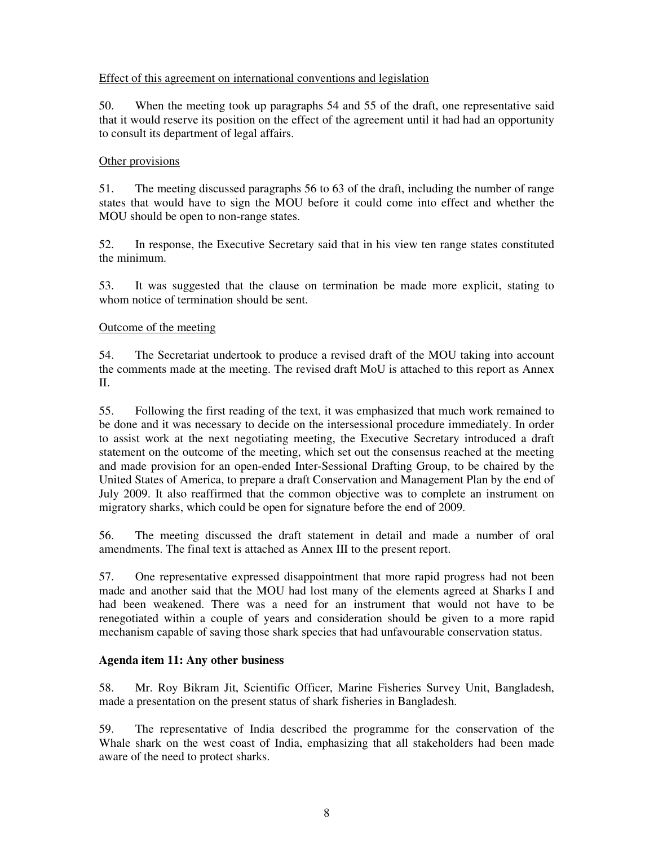## Effect of this agreement on international conventions and legislation

50. When the meeting took up paragraphs 54 and 55 of the draft, one representative said that it would reserve its position on the effect of the agreement until it had had an opportunity to consult its department of legal affairs.

## Other provisions

51. The meeting discussed paragraphs 56 to 63 of the draft, including the number of range states that would have to sign the MOU before it could come into effect and whether the MOU should be open to non-range states.

52. In response, the Executive Secretary said that in his view ten range states constituted the minimum.

53. It was suggested that the clause on termination be made more explicit, stating to whom notice of termination should be sent.

## Outcome of the meeting

54. The Secretariat undertook to produce a revised draft of the MOU taking into account the comments made at the meeting. The revised draft MoU is attached to this report as Annex II.

55. Following the first reading of the text, it was emphasized that much work remained to be done and it was necessary to decide on the intersessional procedure immediately. In order to assist work at the next negotiating meeting, the Executive Secretary introduced a draft statement on the outcome of the meeting, which set out the consensus reached at the meeting and made provision for an open-ended Inter-Sessional Drafting Group, to be chaired by the United States of America, to prepare a draft Conservation and Management Plan by the end of July 2009. It also reaffirmed that the common objective was to complete an instrument on migratory sharks, which could be open for signature before the end of 2009.

56. The meeting discussed the draft statement in detail and made a number of oral amendments. The final text is attached as Annex III to the present report.

57. One representative expressed disappointment that more rapid progress had not been made and another said that the MOU had lost many of the elements agreed at Sharks I and had been weakened. There was a need for an instrument that would not have to be renegotiated within a couple of years and consideration should be given to a more rapid mechanism capable of saving those shark species that had unfavourable conservation status.

## **Agenda item 11: Any other business**

58. Mr. Roy Bikram Jit, Scientific Officer, Marine Fisheries Survey Unit, Bangladesh, made a presentation on the present status of shark fisheries in Bangladesh.

59. The representative of India described the programme for the conservation of the Whale shark on the west coast of India, emphasizing that all stakeholders had been made aware of the need to protect sharks.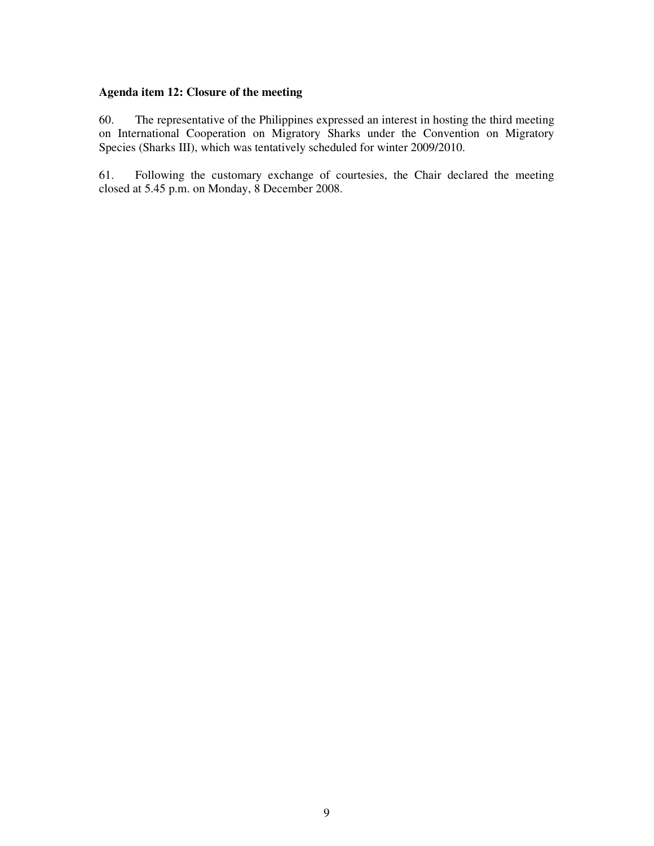# **Agenda item 12: Closure of the meeting**

60. The representative of the Philippines expressed an interest in hosting the third meeting on International Cooperation on Migratory Sharks under the Convention on Migratory Species (Sharks III), which was tentatively scheduled for winter 2009/2010.

61. Following the customary exchange of courtesies, the Chair declared the meeting closed at 5.45 p.m. on Monday, 8 December 2008.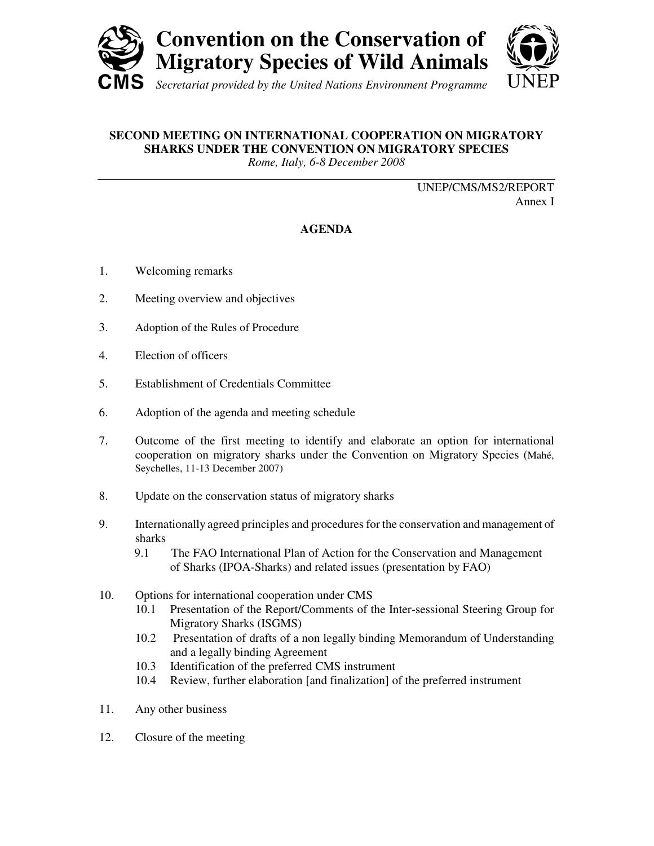



# **SECOND MEETING ON INTERNATIONAL COOPERATION ON MIGRATORY SHARKS UNDER THE CONVENTION ON MIGRATORY SPECIES**

*Rome, Italy, 6-8 December 2008*

UNEP/CMS/MS2/REPORT Annex I

# **AGENDA**

- 1. Welcoming remarks
- 2. Meeting overview and objectives
- 3. Adoption of the Rules of Procedure
- 4. Election of officers
- 5. Establishment of Credentials Committee
- 6. Adoption of the agenda and meeting schedule
- 7. Outcome of the first meeting to identify and elaborate an option for international cooperation on migratory sharks under the Convention on Migratory Species (Mahé, Seychelles, 11-13 December 2007)
- 8. Update on the conservation status of migratory sharks
- 9. Internationally agreed principles and procedures for the conservation and management of sharks
	- 9.1 The FAO International Plan of Action for the Conservation and Management of Sharks (IPOA-Sharks) and related issues (presentation by FAO)
- 10. Options for international cooperation under CMS
	- 10.1 Presentation of the Report/Comments of the Inter-sessional Steering Group for Migratory Sharks (ISGMS)
	- 10.2 Presentation of drafts of a non legally binding Memorandum of Understanding and a legally binding Agreement
	- 10.3 Identification of the preferred CMS instrument
	- 10.4 Review, further elaboration [and finalization] of the preferred instrument
- 11. Any other business
- 12. Closure of the meeting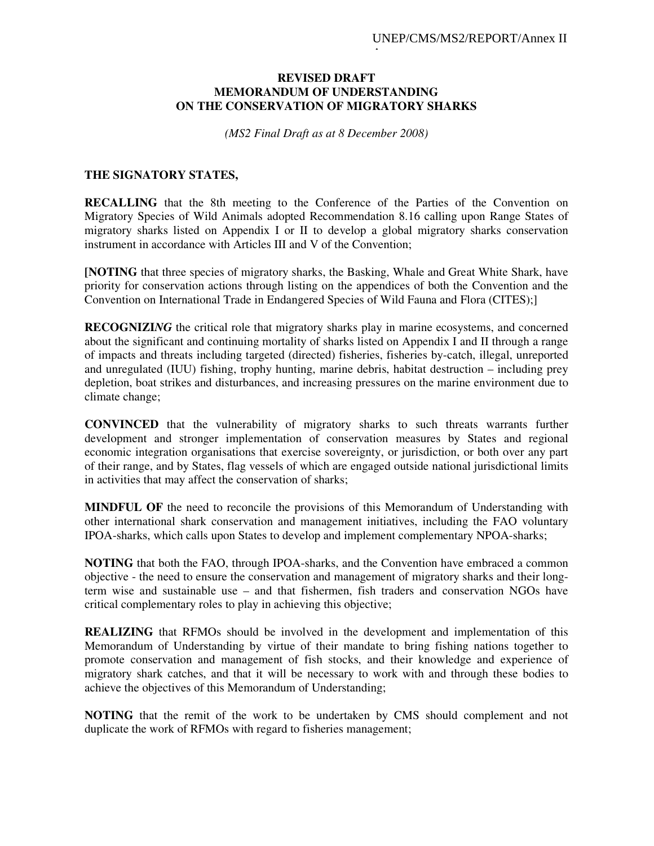## **REVISED DRAFT MEMORANDUM OF UNDERSTANDING ON THE CONSERVATION OF MIGRATORY SHARKS**

Anexo

*(MS2 Final Draft as at 8 December 2008)* 

## **THE SIGNATORY STATES,**

**RECALLING** that the 8th meeting to the Conference of the Parties of the Convention on Migratory Species of Wild Animals adopted Recommendation 8.16 calling upon Range States of migratory sharks listed on Appendix I or II to develop a global migratory sharks conservation instrument in accordance with Articles III and V of the Convention;

**[NOTING** that three species of migratory sharks, the Basking, Whale and Great White Shark, have priority for conservation actions through listing on the appendices of both the Convention and the Convention on International Trade in Endangered Species of Wild Fauna and Flora (CITES);]

**RECOGNIZI***NG* the critical role that migratory sharks play in marine ecosystems, and concerned about the significant and continuing mortality of sharks listed on Appendix I and II through a range of impacts and threats including targeted (directed) fisheries, fisheries by-catch, illegal, unreported and unregulated (IUU) fishing, trophy hunting, marine debris, habitat destruction – including prey depletion, boat strikes and disturbances, and increasing pressures on the marine environment due to climate change;

**CONVINCED** that the vulnerability of migratory sharks to such threats warrants further development and stronger implementation of conservation measures by States and regional economic integration organisations that exercise sovereignty, or jurisdiction, or both over any part of their range, and by States, flag vessels of which are engaged outside national jurisdictional limits in activities that may affect the conservation of sharks;

**MINDFUL OF** the need to reconcile the provisions of this Memorandum of Understanding with other international shark conservation and management initiatives, including the FAO voluntary IPOA-sharks, which calls upon States to develop and implement complementary NPOA-sharks;

**NOTING** that both the FAO, through IPOA-sharks, and the Convention have embraced a common objective - the need to ensure the conservation and management of migratory sharks and their longterm wise and sustainable use – and that fishermen, fish traders and conservation NGOs have critical complementary roles to play in achieving this objective;

**REALIZING** that RFMOs should be involved in the development and implementation of this Memorandum of Understanding by virtue of their mandate to bring fishing nations together to promote conservation and management of fish stocks, and their knowledge and experience of migratory shark catches, and that it will be necessary to work with and through these bodies to achieve the objectives of this Memorandum of Understanding;

**NOTING** that the remit of the work to be undertaken by CMS should complement and not duplicate the work of RFMOs with regard to fisheries management;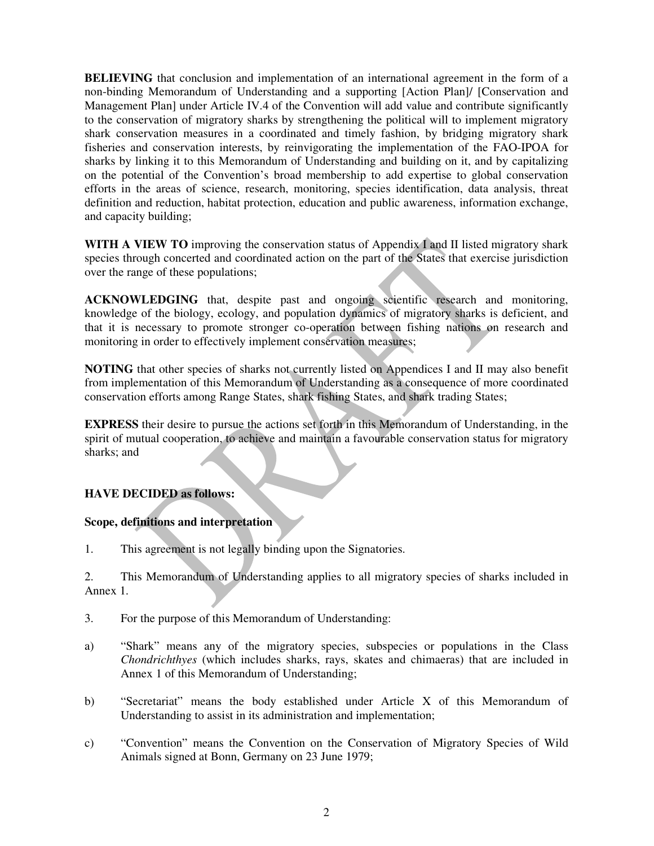**BELIEVING** that conclusion and implementation of an international agreement in the form of a non-binding Memorandum of Understanding and a supporting [Action Plan]/ [Conservation and Management Plan] under Article IV.4 of the Convention will add value and contribute significantly to the conservation of migratory sharks by strengthening the political will to implement migratory shark conservation measures in a coordinated and timely fashion, by bridging migratory shark fisheries and conservation interests, by reinvigorating the implementation of the FAO-IPOA for sharks by linking it to this Memorandum of Understanding and building on it, and by capitalizing on the potential of the Convention's broad membership to add expertise to global conservation efforts in the areas of science, research, monitoring, species identification, data analysis, threat definition and reduction, habitat protection, education and public awareness, information exchange, and capacity building;

**WITH A VIEW TO** improving the conservation status of Appendix I and II listed migratory shark species through concerted and coordinated action on the part of the States that exercise jurisdiction over the range of these populations;

**ACKNOWLEDGING** that, despite past and ongoing scientific research and monitoring, knowledge of the biology, ecology, and population dynamics of migratory sharks is deficient, and that it is necessary to promote stronger co-operation between fishing nations on research and monitoring in order to effectively implement conservation measures;

**NOTING** that other species of sharks not currently listed on Appendices I and II may also benefit from implementation of this Memorandum of Understanding as a consequence of more coordinated conservation efforts among Range States, shark fishing States, and shark trading States;

**EXPRESS** their desire to pursue the actions set forth in this Memorandum of Understanding, in the spirit of mutual cooperation, to achieve and maintain a favourable conservation status for migratory sharks; and

## **HAVE DECIDED as follows:**

## **Scope, definitions and interpretation**

1. This agreement is not legally binding upon the Signatories.

2. This Memorandum of Understanding applies to all migratory species of sharks included in Annex 1.

- 3. For the purpose of this Memorandum of Understanding:
- a) "Shark" means any of the migratory species, subspecies or populations in the Class *Chondrichthyes* (which includes sharks, rays, skates and chimaeras) that are included in Annex 1 of this Memorandum of Understanding;
- b) "Secretariat" means the body established under Article X of this Memorandum of Understanding to assist in its administration and implementation;
- c) "Convention" means the Convention on the Conservation of Migratory Species of Wild Animals signed at Bonn, Germany on 23 June 1979;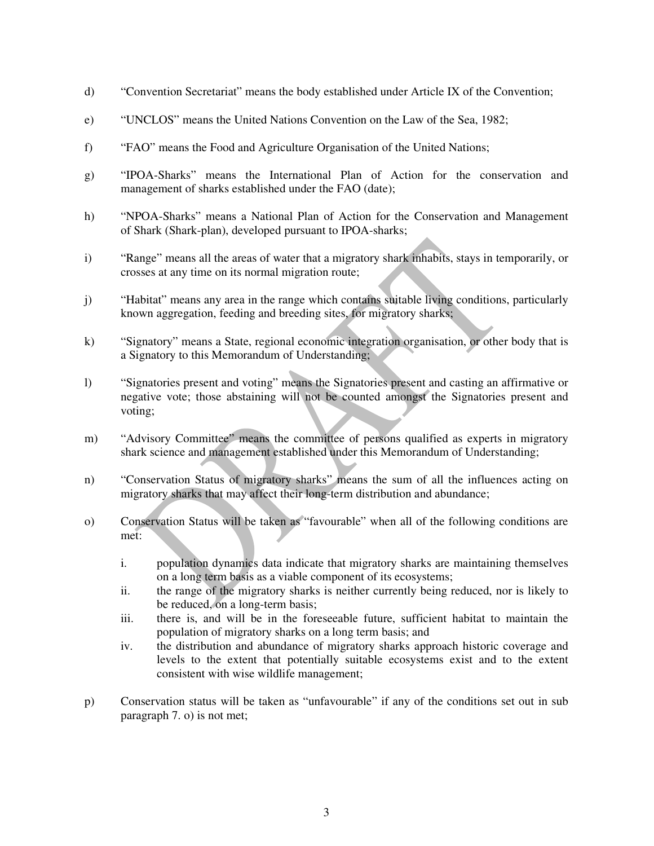- d) "Convention Secretariat" means the body established under Article IX of the Convention;
- e) "UNCLOS" means the United Nations Convention on the Law of the Sea, 1982;
- f) "FAO" means the Food and Agriculture Organisation of the United Nations;
- g) "IPOA-Sharks" means the International Plan of Action for the conservation and management of sharks established under the FAO (date);
- h) "NPOA-Sharks" means a National Plan of Action for the Conservation and Management of Shark (Shark-plan), developed pursuant to IPOA-sharks;
- i) "Range" means all the areas of water that a migratory shark inhabits, stays in temporarily, or crosses at any time on its normal migration route;
- j) "Habitat" means any area in the range which contains suitable living conditions, particularly known aggregation, feeding and breeding sites, for migratory sharks;
- k) "Signatory" means a State, regional economic integration organisation, or other body that is a Signatory to this Memorandum of Understanding;
- l) "Signatories present and voting" means the Signatories present and casting an affirmative or negative vote; those abstaining will not be counted amongst the Signatories present and voting;
- m) "Advisory Committee" means the committee of persons qualified as experts in migratory shark science and management established under this Memorandum of Understanding;
- n) "Conservation Status of migratory sharks" means the sum of all the influences acting on migratory sharks that may affect their long-term distribution and abundance;
- o) Conservation Status will be taken as "favourable" when all of the following conditions are met:
	- i. population dynamics data indicate that migratory sharks are maintaining themselves on a long term basis as a viable component of its ecosystems;
	- ii. the range of the migratory sharks is neither currently being reduced, nor is likely to be reduced, on a long-term basis;
	- iii. there is, and will be in the foreseeable future, sufficient habitat to maintain the population of migratory sharks on a long term basis; and
	- iv. the distribution and abundance of migratory sharks approach historic coverage and levels to the extent that potentially suitable ecosystems exist and to the extent consistent with wise wildlife management;
- p) Conservation status will be taken as "unfavourable" if any of the conditions set out in sub paragraph 7. o) is not met;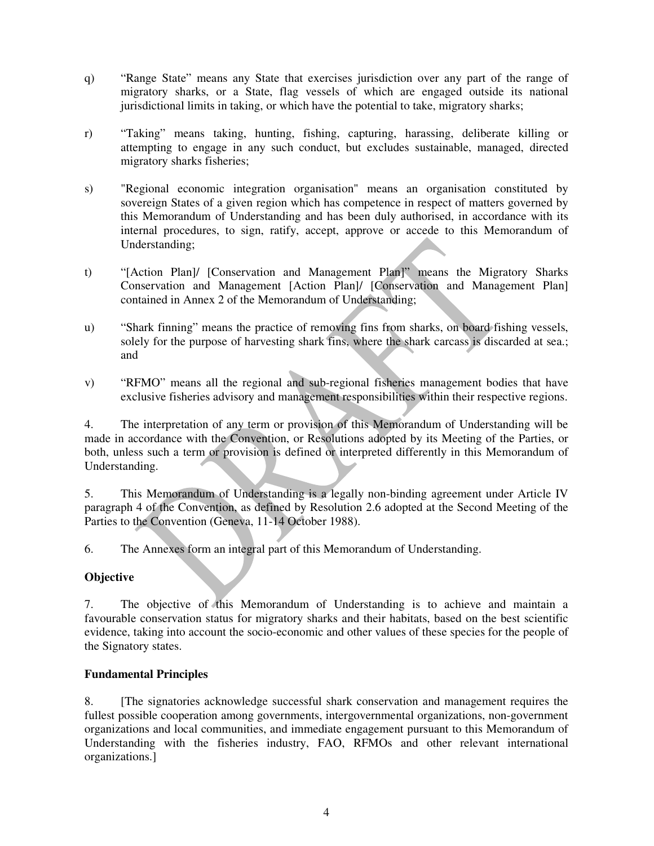- q) "Range State" means any State that exercises jurisdiction over any part of the range of migratory sharks, or a State, flag vessels of which are engaged outside its national jurisdictional limits in taking, or which have the potential to take, migratory sharks;
- r) "Taking" means taking, hunting, fishing, capturing, harassing, deliberate killing or attempting to engage in any such conduct, but excludes sustainable, managed, directed migratory sharks fisheries;
- s) "Regional economic integration organisation" means an organisation constituted by sovereign States of a given region which has competence in respect of matters governed by this Memorandum of Understanding and has been duly authorised, in accordance with its internal procedures, to sign, ratify, accept, approve or accede to this Memorandum of Understanding;
- t) "[Action Plan]/ [Conservation and Management Plan]" means the Migratory Sharks Conservation and Management [Action Plan]/ [Conservation and Management Plan] contained in Annex 2 of the Memorandum of Understanding;
- u) "Shark finning" means the practice of removing fins from sharks, on board fishing vessels, solely for the purpose of harvesting shark fins, where the shark carcass is discarded at sea.; and
- v) "RFMO" means all the regional and sub-regional fisheries management bodies that have exclusive fisheries advisory and management responsibilities within their respective regions.

4. The interpretation of any term or provision of this Memorandum of Understanding will be made in accordance with the Convention, or Resolutions adopted by its Meeting of the Parties, or both, unless such a term or provision is defined or interpreted differently in this Memorandum of Understanding.

5. This Memorandum of Understanding is a legally non-binding agreement under Article IV paragraph 4 of the Convention, as defined by Resolution 2.6 adopted at the Second Meeting of the Parties to the Convention (Geneva, 11-14 October 1988).

6. The Annexes form an integral part of this Memorandum of Understanding.

## **Objective**

7. The objective of this Memorandum of Understanding is to achieve and maintain a favourable conservation status for migratory sharks and their habitats, based on the best scientific evidence, taking into account the socio-economic and other values of these species for the people of the Signatory states.

## **Fundamental Principles**

8. [The signatories acknowledge successful shark conservation and management requires the fullest possible cooperation among governments, intergovernmental organizations, non-government organizations and local communities, and immediate engagement pursuant to this Memorandum of Understanding with the fisheries industry, FAO, RFMOs and other relevant international organizations.]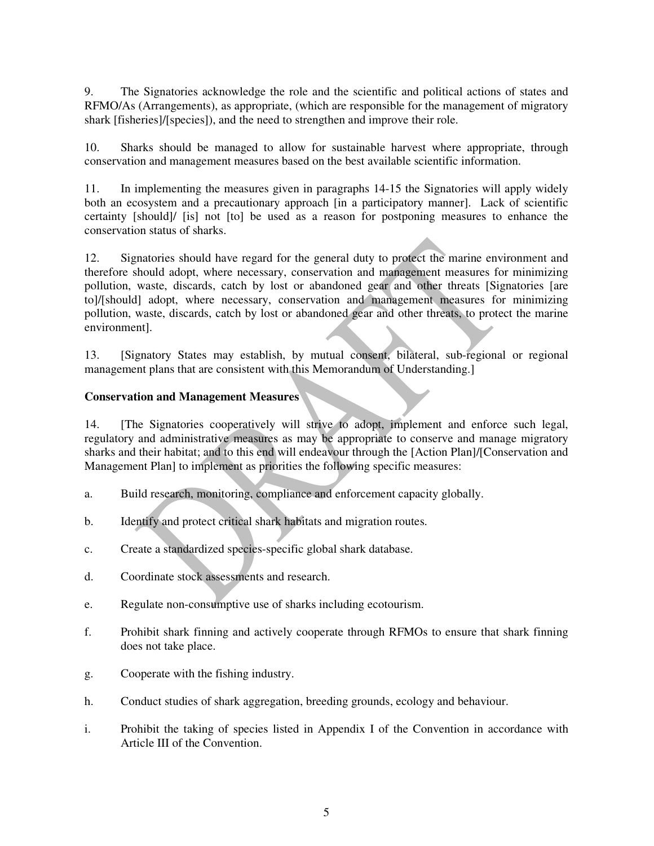9. The Signatories acknowledge the role and the scientific and political actions of states and RFMO/As (Arrangements), as appropriate, (which are responsible for the management of migratory shark [fisheries]/[species]), and the need to strengthen and improve their role.

10. Sharks should be managed to allow for sustainable harvest where appropriate, through conservation and management measures based on the best available scientific information.

11. In implementing the measures given in paragraphs 14-15 the Signatories will apply widely both an ecosystem and a precautionary approach [in a participatory manner]. Lack of scientific certainty [should]/ [is] not [to] be used as a reason for postponing measures to enhance the conservation status of sharks.

12. Signatories should have regard for the general duty to protect the marine environment and therefore should adopt, where necessary, conservation and management measures for minimizing pollution, waste, discards, catch by lost or abandoned gear and other threats [Signatories [are to]/[should] adopt, where necessary, conservation and management measures for minimizing pollution, waste, discards, catch by lost or abandoned gear and other threats, to protect the marine environment].

13. [Signatory States may establish, by mutual consent, bilateral, sub-regional or regional management plans that are consistent with this Memorandum of Understanding.]

## **Conservation and Management Measures**

14. [The Signatories cooperatively will strive to adopt, implement and enforce such legal, regulatory and administrative measures as may be appropriate to conserve and manage migratory sharks and their habitat; and to this end will endeavour through the [Action Plan]/[Conservation and Management Plan] to implement as priorities the following specific measures:

- a. Build research, monitoring, compliance and enforcement capacity globally.
- b. Identify and protect critical shark habitats and migration routes.
- c. Create a standardized species-specific global shark database.
- d. Coordinate stock assessments and research.
- e. Regulate non-consumptive use of sharks including ecotourism.
- f. Prohibit shark finning and actively cooperate through RFMOs to ensure that shark finning does not take place.
- g. Cooperate with the fishing industry.
- h. Conduct studies of shark aggregation, breeding grounds, ecology and behaviour.
- i. Prohibit the taking of species listed in Appendix I of the Convention in accordance with Article III of the Convention.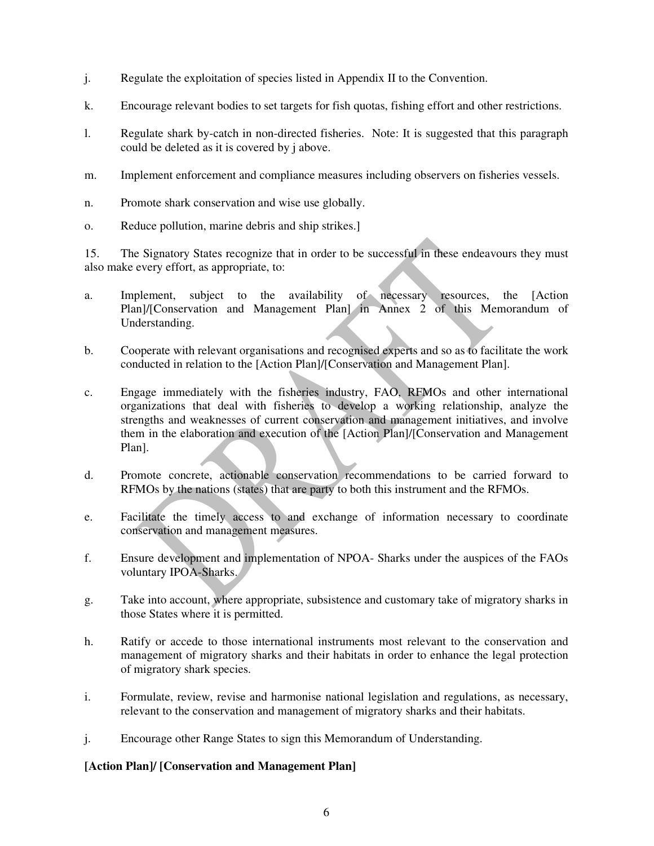- j. Regulate the exploitation of species listed in Appendix II to the Convention.
- k. Encourage relevant bodies to set targets for fish quotas, fishing effort and other restrictions.
- l. Regulate shark by-catch in non-directed fisheries. Note: It is suggested that this paragraph could be deleted as it is covered by j above.
- m. Implement enforcement and compliance measures including observers on fisheries vessels.
- n. Promote shark conservation and wise use globally.
- o. Reduce pollution, marine debris and ship strikes.]

15. The Signatory States recognize that in order to be successful in these endeavours they must also make every effort, as appropriate, to:

- a. Implement, subject to the availability of necessary resources, the [Action Plan]/[Conservation and Management Plan] in Annex 2 of this Memorandum of Understanding.
- b. Cooperate with relevant organisations and recognised experts and so as to facilitate the work conducted in relation to the [Action Plan]/[Conservation and Management Plan].
- c. Engage immediately with the fisheries industry, FAO, RFMOs and other international organizations that deal with fisheries to develop a working relationship, analyze the strengths and weaknesses of current conservation and management initiatives, and involve them in the elaboration and execution of the [Action Plan]/[Conservation and Management Plan].
- d. Promote concrete, actionable conservation recommendations to be carried forward to RFMOs by the nations (states) that are party to both this instrument and the RFMOs.
- e. Facilitate the timely access to and exchange of information necessary to coordinate conservation and management measures.
- f. Ensure development and implementation of NPOA- Sharks under the auspices of the FAOs voluntary IPOA-Sharks.
- g. Take into account, where appropriate, subsistence and customary take of migratory sharks in those States where it is permitted.
- h. Ratify or accede to those international instruments most relevant to the conservation and management of migratory sharks and their habitats in order to enhance the legal protection of migratory shark species.
- i. Formulate, review, revise and harmonise national legislation and regulations, as necessary, relevant to the conservation and management of migratory sharks and their habitats.
- j. Encourage other Range States to sign this Memorandum of Understanding.

## **[Action Plan]/ [Conservation and Management Plan]**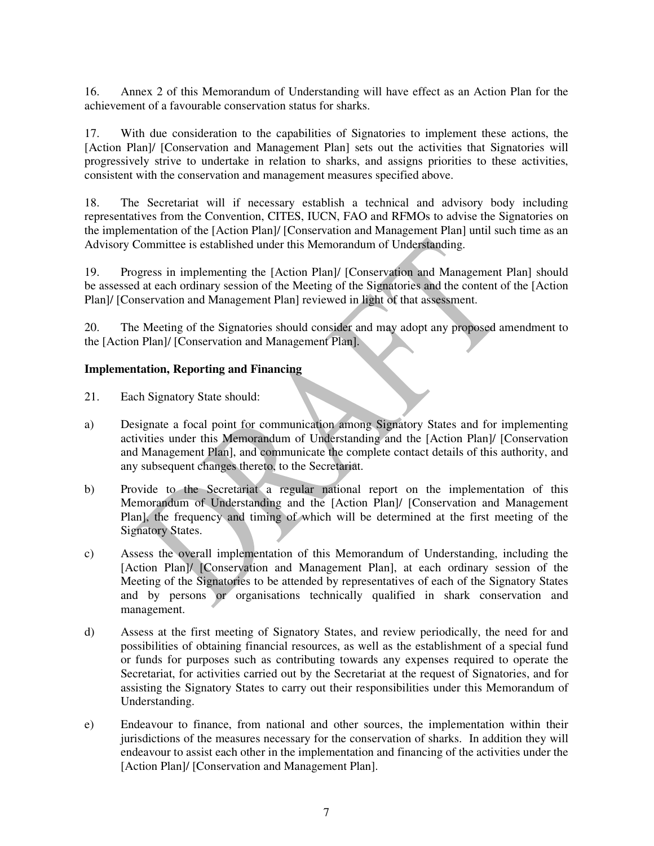16. Annex 2 of this Memorandum of Understanding will have effect as an Action Plan for the achievement of a favourable conservation status for sharks.

17. With due consideration to the capabilities of Signatories to implement these actions, the [Action Plan]/ [Conservation and Management Plan] sets out the activities that Signatories will progressively strive to undertake in relation to sharks, and assigns priorities to these activities, consistent with the conservation and management measures specified above.

18. The Secretariat will if necessary establish a technical and advisory body including representatives from the Convention, CITES, IUCN, FAO and RFMOs to advise the Signatories on the implementation of the [Action Plan]/ [Conservation and Management Plan] until such time as an Advisory Committee is established under this Memorandum of Understanding.

19. Progress in implementing the [Action Plan]/ [Conservation and Management Plan] should be assessed at each ordinary session of the Meeting of the Signatories and the content of the [Action Plan]/ [Conservation and Management Plan] reviewed in light of that assessment.

20. The Meeting of the Signatories should consider and may adopt any proposed amendment to the [Action Plan]/ [Conservation and Management Plan].

## **Implementation, Reporting and Financing**

- 21. Each Signatory State should:
- a) Designate a focal point for communication among Signatory States and for implementing activities under this Memorandum of Understanding and the [Action Plan]/ [Conservation and Management Plan], and communicate the complete contact details of this authority, and any subsequent changes thereto, to the Secretariat.
- b) Provide to the Secretariat a regular national report on the implementation of this Memorandum of Understanding and the [Action Plan]/ [Conservation and Management Plan], the frequency and timing of which will be determined at the first meeting of the Signatory States.
- c) Assess the overall implementation of this Memorandum of Understanding, including the [Action Plan]/ [Conservation and Management Plan], at each ordinary session of the Meeting of the Signatories to be attended by representatives of each of the Signatory States and by persons or organisations technically qualified in shark conservation and management.
- d) Assess at the first meeting of Signatory States, and review periodically, the need for and possibilities of obtaining financial resources, as well as the establishment of a special fund or funds for purposes such as contributing towards any expenses required to operate the Secretariat, for activities carried out by the Secretariat at the request of Signatories, and for assisting the Signatory States to carry out their responsibilities under this Memorandum of Understanding.
- e) Endeavour to finance, from national and other sources, the implementation within their jurisdictions of the measures necessary for the conservation of sharks. In addition they will endeavour to assist each other in the implementation and financing of the activities under the [Action Plan]/ [Conservation and Management Plan].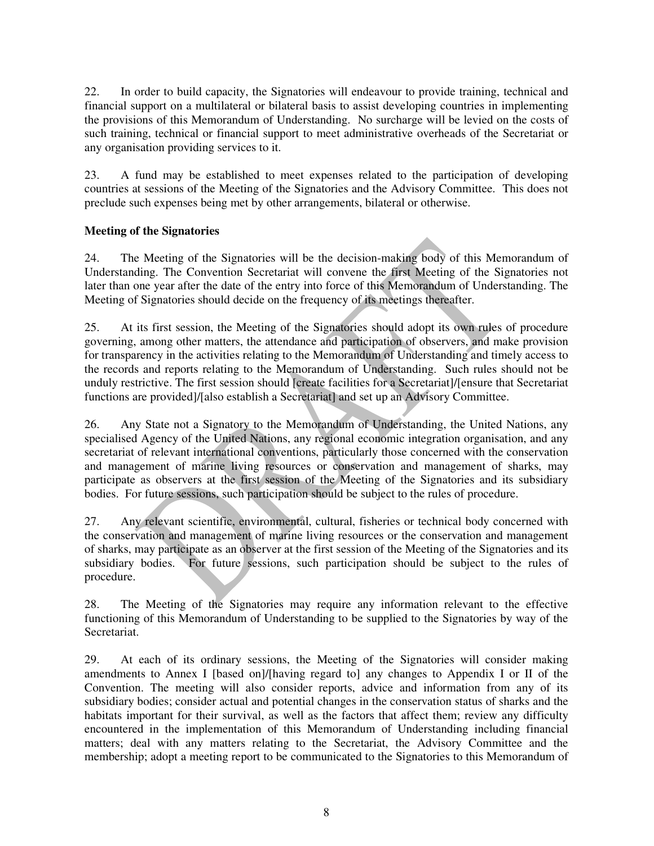22. In order to build capacity, the Signatories will endeavour to provide training, technical and financial support on a multilateral or bilateral basis to assist developing countries in implementing the provisions of this Memorandum of Understanding. No surcharge will be levied on the costs of such training, technical or financial support to meet administrative overheads of the Secretariat or any organisation providing services to it.

23. A fund may be established to meet expenses related to the participation of developing countries at sessions of the Meeting of the Signatories and the Advisory Committee. This does not preclude such expenses being met by other arrangements, bilateral or otherwise.

## **Meeting of the Signatories**

24. The Meeting of the Signatories will be the decision-making body of this Memorandum of Understanding. The Convention Secretariat will convene the first Meeting of the Signatories not later than one year after the date of the entry into force of this Memorandum of Understanding. The Meeting of Signatories should decide on the frequency of its meetings thereafter.

25. At its first session, the Meeting of the Signatories should adopt its own rules of procedure governing, among other matters, the attendance and participation of observers, and make provision for transparency in the activities relating to the Memorandum of Understanding and timely access to the records and reports relating to the Memorandum of Understanding. Such rules should not be unduly restrictive. The first session should [create facilities for a Secretariat]/[ensure that Secretariat functions are provided]/[also establish a Secretariat] and set up an Advisory Committee.

26. Any State not a Signatory to the Memorandum of Understanding, the United Nations, any specialised Agency of the United Nations, any regional economic integration organisation, and any secretariat of relevant international conventions, particularly those concerned with the conservation and management of marine living resources or conservation and management of sharks, may participate as observers at the first session of the Meeting of the Signatories and its subsidiary bodies. For future sessions, such participation should be subject to the rules of procedure.

27. Any relevant scientific, environmental, cultural, fisheries or technical body concerned with the conservation and management of marine living resources or the conservation and management of sharks, may participate as an observer at the first session of the Meeting of the Signatories and its subsidiary bodies. For future sessions, such participation should be subject to the rules of procedure.

28. The Meeting of the Signatories may require any information relevant to the effective functioning of this Memorandum of Understanding to be supplied to the Signatories by way of the Secretariat.

29. At each of its ordinary sessions, the Meeting of the Signatories will consider making amendments to Annex I [based on]/[having regard to] any changes to Appendix I or II of the Convention. The meeting will also consider reports, advice and information from any of its subsidiary bodies; consider actual and potential changes in the conservation status of sharks and the habitats important for their survival, as well as the factors that affect them; review any difficulty encountered in the implementation of this Memorandum of Understanding including financial matters; deal with any matters relating to the Secretariat, the Advisory Committee and the membership; adopt a meeting report to be communicated to the Signatories to this Memorandum of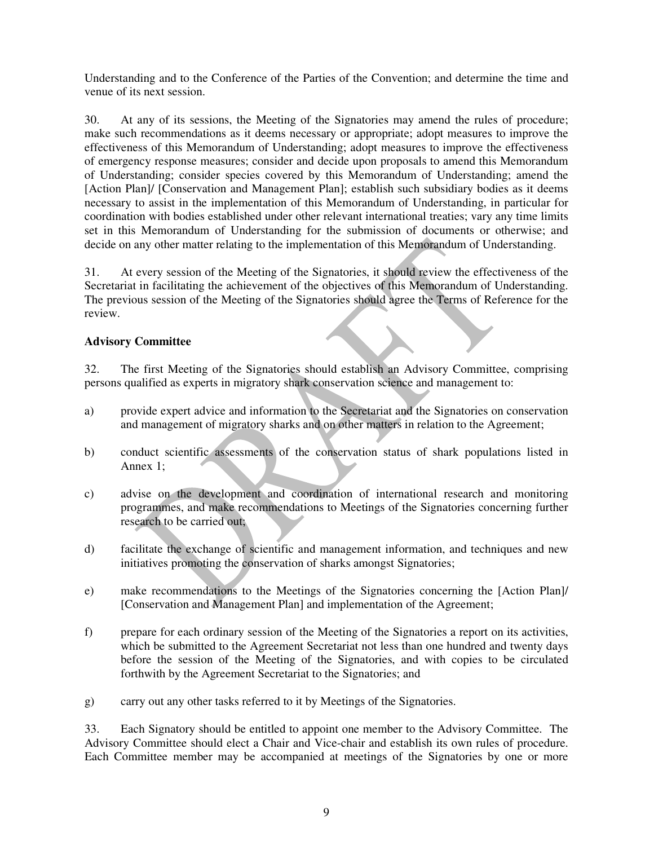Understanding and to the Conference of the Parties of the Convention; and determine the time and venue of its next session.

30. At any of its sessions, the Meeting of the Signatories may amend the rules of procedure; make such recommendations as it deems necessary or appropriate; adopt measures to improve the effectiveness of this Memorandum of Understanding; adopt measures to improve the effectiveness of emergency response measures; consider and decide upon proposals to amend this Memorandum of Understanding; consider species covered by this Memorandum of Understanding; amend the [Action Plan]/ [Conservation and Management Plan]; establish such subsidiary bodies as it deems necessary to assist in the implementation of this Memorandum of Understanding, in particular for coordination with bodies established under other relevant international treaties; vary any time limits set in this Memorandum of Understanding for the submission of documents or otherwise; and decide on any other matter relating to the implementation of this Memorandum of Understanding.

31. At every session of the Meeting of the Signatories, it should review the effectiveness of the Secretariat in facilitating the achievement of the objectives of this Memorandum of Understanding. The previous session of the Meeting of the Signatories should agree the Terms of Reference for the review.

## **Advisory Committee**

32. The first Meeting of the Signatories should establish an Advisory Committee, comprising persons qualified as experts in migratory shark conservation science and management to:

- a) provide expert advice and information to the Secretariat and the Signatories on conservation and management of migratory sharks and on other matters in relation to the Agreement;
- b) conduct scientific assessments of the conservation status of shark populations listed in Annex 1;
- c) advise on the development and coordination of international research and monitoring programmes, and make recommendations to Meetings of the Signatories concerning further research to be carried out;
- d) facilitate the exchange of scientific and management information, and techniques and new initiatives promoting the conservation of sharks amongst Signatories;
- e) make recommendations to the Meetings of the Signatories concerning the [Action Plan]/ [Conservation and Management Plan] and implementation of the Agreement;
- f) prepare for each ordinary session of the Meeting of the Signatories a report on its activities, which be submitted to the Agreement Secretariat not less than one hundred and twenty days before the session of the Meeting of the Signatories, and with copies to be circulated forthwith by the Agreement Secretariat to the Signatories; and
- g) carry out any other tasks referred to it by Meetings of the Signatories.

33. Each Signatory should be entitled to appoint one member to the Advisory Committee. The Advisory Committee should elect a Chair and Vice-chair and establish its own rules of procedure. Each Committee member may be accompanied at meetings of the Signatories by one or more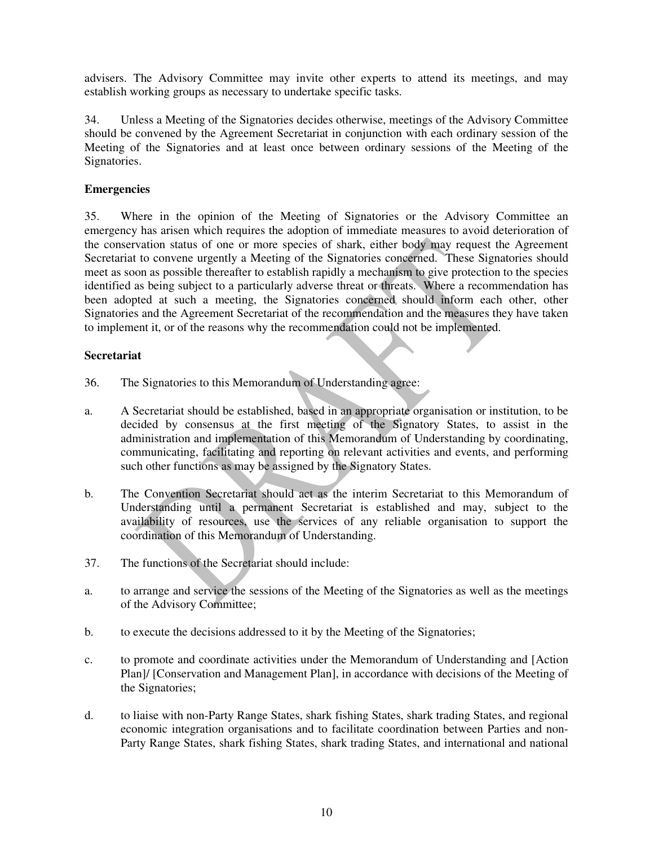advisers. The Advisory Committee may invite other experts to attend its meetings, and may establish working groups as necessary to undertake specific tasks.

34. Unless a Meeting of the Signatories decides otherwise, meetings of the Advisory Committee should be convened by the Agreement Secretariat in conjunction with each ordinary session of the Meeting of the Signatories and at least once between ordinary sessions of the Meeting of the Signatories.

## **Emergencies**

35. Where in the opinion of the Meeting of Signatories or the Advisory Committee an emergency has arisen which requires the adoption of immediate measures to avoid deterioration of the conservation status of one or more species of shark, either body may request the Agreement Secretariat to convene urgently a Meeting of the Signatories concerned. These Signatories should meet as soon as possible thereafter to establish rapidly a mechanism to give protection to the species identified as being subject to a particularly adverse threat or threats. Where a recommendation has been adopted at such a meeting, the Signatories concerned should inform each other, other Signatories and the Agreement Secretariat of the recommendation and the measures they have taken to implement it, or of the reasons why the recommendation could not be implemented.

## **Secretariat**

- 36. The Signatories to this Memorandum of Understanding agree:
- a. A Secretariat should be established, based in an appropriate organisation or institution, to be decided by consensus at the first meeting of the Signatory States, to assist in the administration and implementation of this Memorandum of Understanding by coordinating, communicating, facilitating and reporting on relevant activities and events, and performing such other functions as may be assigned by the Signatory States.
- b. The Convention Secretariat should act as the interim Secretariat to this Memorandum of Understanding until a permanent Secretariat is established and may, subject to the availability of resources, use the services of any reliable organisation to support the coordination of this Memorandum of Understanding.
- 37. The functions of the Secretariat should include:
- a. to arrange and service the sessions of the Meeting of the Signatories as well as the meetings of the Advisory Committee;
- b. to execute the decisions addressed to it by the Meeting of the Signatories;
- c. to promote and coordinate activities under the Memorandum of Understanding and [Action Plan]/ [Conservation and Management Plan], in accordance with decisions of the Meeting of the Signatories;
- d. to liaise with non-Party Range States, shark fishing States, shark trading States, and regional economic integration organisations and to facilitate coordination between Parties and non-Party Range States, shark fishing States, shark trading States, and international and national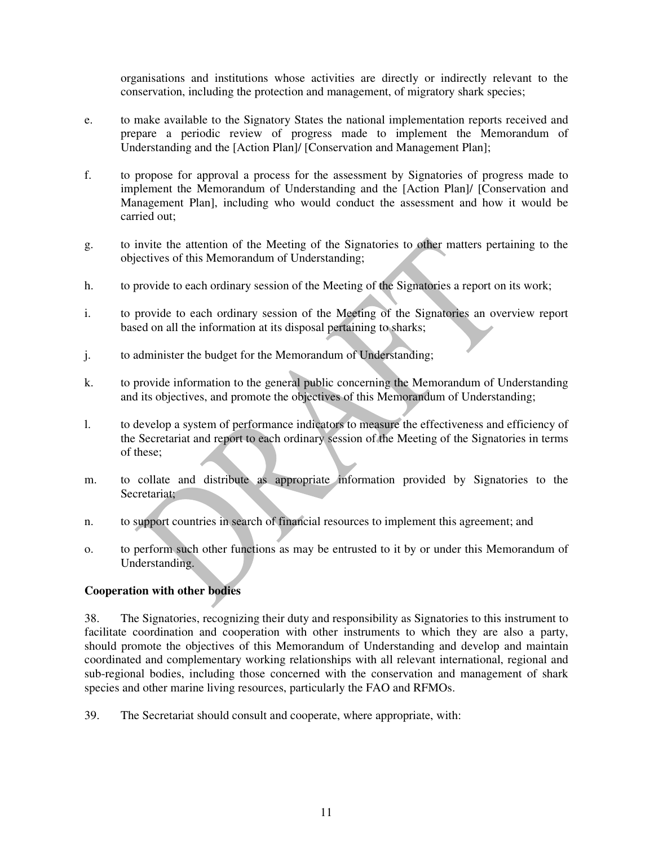organisations and institutions whose activities are directly or indirectly relevant to the conservation, including the protection and management, of migratory shark species;

- e. to make available to the Signatory States the national implementation reports received and prepare a periodic review of progress made to implement the Memorandum of Understanding and the [Action Plan]/ [Conservation and Management Plan];
- f. to propose for approval a process for the assessment by Signatories of progress made to implement the Memorandum of Understanding and the [Action Plan]/ [Conservation and Management Plan], including who would conduct the assessment and how it would be carried out;
- g. to invite the attention of the Meeting of the Signatories to other matters pertaining to the objectives of this Memorandum of Understanding;
- h. to provide to each ordinary session of the Meeting of the Signatories a report on its work;
- i. to provide to each ordinary session of the Meeting of the Signatories an overview report based on all the information at its disposal pertaining to sharks;
- j. to administer the budget for the Memorandum of Understanding;
- k. to provide information to the general public concerning the Memorandum of Understanding and its objectives, and promote the objectives of this Memorandum of Understanding;
- l. to develop a system of performance indicators to measure the effectiveness and efficiency of the Secretariat and report to each ordinary session of the Meeting of the Signatories in terms of these;
- m. to collate and distribute as appropriate information provided by Signatories to the Secretariat;
- n. to support countries in search of financial resources to implement this agreement; and
- o. to perform such other functions as may be entrusted to it by or under this Memorandum of Understanding.

## **Cooperation with other bodies**

38. The Signatories, recognizing their duty and responsibility as Signatories to this instrument to facilitate coordination and cooperation with other instruments to which they are also a party, should promote the objectives of this Memorandum of Understanding and develop and maintain coordinated and complementary working relationships with all relevant international, regional and sub-regional bodies, including those concerned with the conservation and management of shark species and other marine living resources, particularly the FAO and RFMOs.

39. The Secretariat should consult and cooperate, where appropriate, with: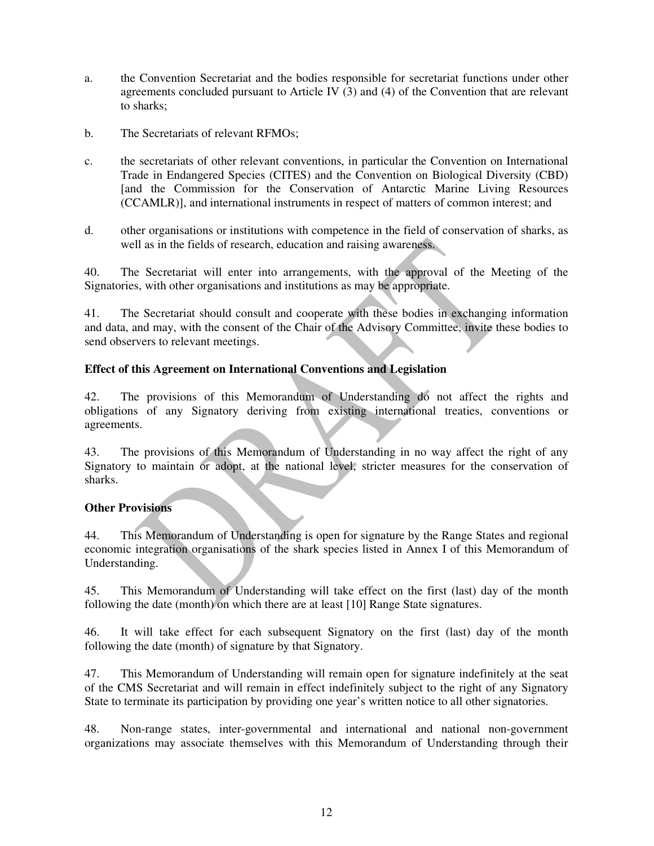- a. the Convention Secretariat and the bodies responsible for secretariat functions under other agreements concluded pursuant to Article IV (3) and (4) of the Convention that are relevant to sharks;
- b. The Secretariats of relevant RFMOs;
- c. the secretariats of other relevant conventions, in particular the Convention on International Trade in Endangered Species (CITES) and the Convention on Biological Diversity (CBD) [and the Commission for the Conservation of Antarctic Marine Living Resources (CCAMLR)], and international instruments in respect of matters of common interest; and
- d. other organisations or institutions with competence in the field of conservation of sharks, as well as in the fields of research, education and raising awareness.

40. The Secretariat will enter into arrangements, with the approval of the Meeting of the Signatories, with other organisations and institutions as may be appropriate.

41. The Secretariat should consult and cooperate with these bodies in exchanging information and data, and may, with the consent of the Chair of the Advisory Committee, invite these bodies to send observers to relevant meetings.

## **Effect of this Agreement on International Conventions and Legislation**

42. The provisions of this Memorandum of Understanding do not affect the rights and obligations of any Signatory deriving from existing international treaties, conventions or agreements.

43. The provisions of this Memorandum of Understanding in no way affect the right of any Signatory to maintain or adopt, at the national level, stricter measures for the conservation of sharks.

## **Other Provisions**

44. This Memorandum of Understanding is open for signature by the Range States and regional economic integration organisations of the shark species listed in Annex I of this Memorandum of Understanding.

45. This Memorandum of Understanding will take effect on the first (last) day of the month following the date (month) on which there are at least [10] Range State signatures.

46. It will take effect for each subsequent Signatory on the first (last) day of the month following the date (month) of signature by that Signatory.

47. This Memorandum of Understanding will remain open for signature indefinitely at the seat of the CMS Secretariat and will remain in effect indefinitely subject to the right of any Signatory State to terminate its participation by providing one year's written notice to all other signatories.

48. Non-range states, inter-governmental and international and national non-government organizations may associate themselves with this Memorandum of Understanding through their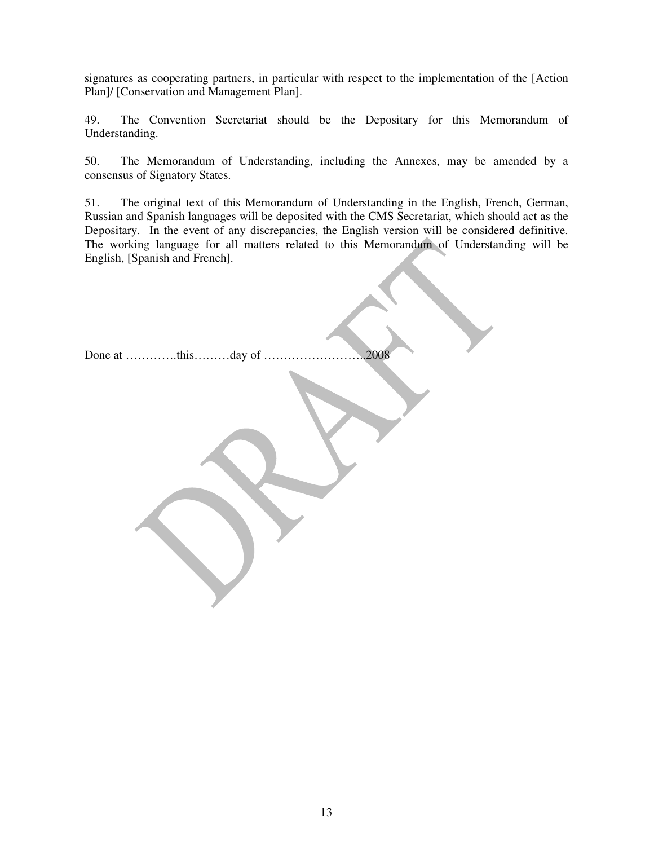signatures as cooperating partners, in particular with respect to the implementation of the [Action Plan]/ [Conservation and Management Plan].

49. The Convention Secretariat should be the Depositary for this Memorandum of Understanding.

50. The Memorandum of Understanding, including the Annexes, may be amended by a consensus of Signatory States.

51. The original text of this Memorandum of Understanding in the English, French, German, Russian and Spanish languages will be deposited with the CMS Secretariat, which should act as the Depositary. In the event of any discrepancies, the English version will be considered definitive. The working language for all matters related to this Memorandum of Understanding will be English, [Spanish and French].

Done at ………….this………day of ……………………..2008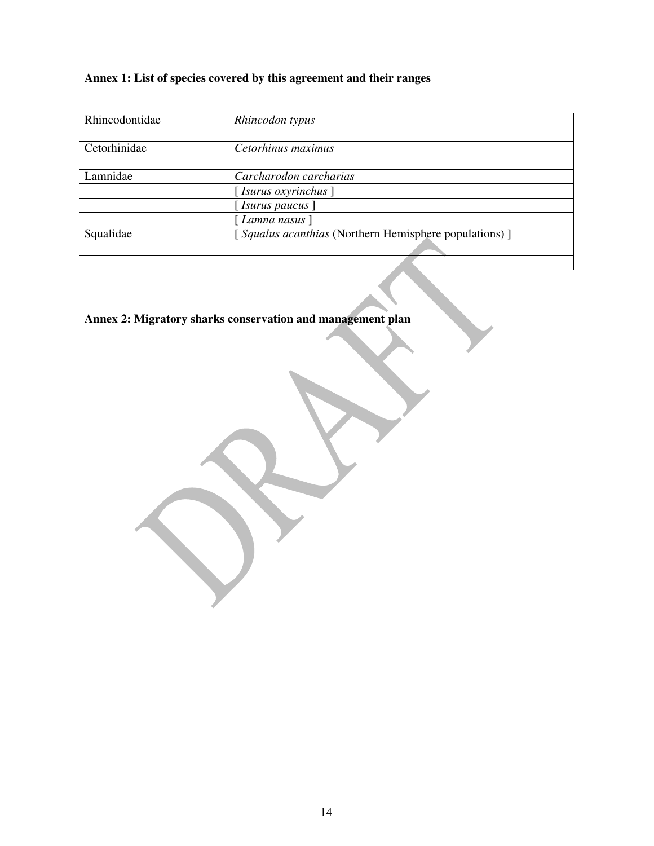# **Annex 1: List of species covered by this agreement and their ranges**

| Rhincodontidae | Rhincodon typus                                       |
|----------------|-------------------------------------------------------|
| Cetorhinidae   | Cetorhinus maximus                                    |
| Lamnidae       | Carcharodon carcharias                                |
|                | $[$ Isurus oxyrinchus $]$                             |
|                | [Isurus paucus]                                       |
|                | [Lamna nasus]                                         |
| Squalidae      | [Squalus acanthias (Northern Hemisphere populations)] |
|                |                                                       |
|                |                                                       |

**Annex 2: Migratory sharks conservation and management plan**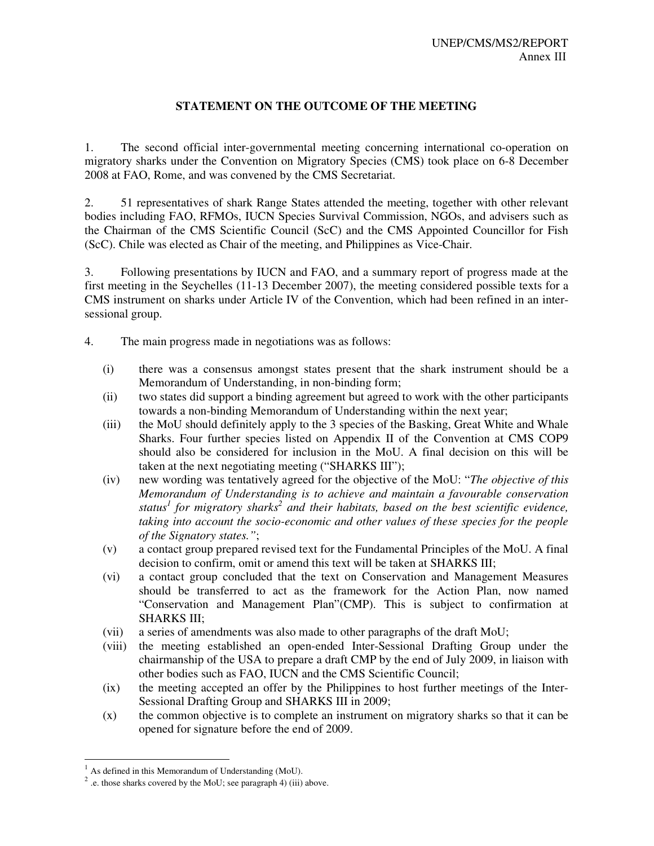## **STATEMENT ON THE OUTCOME OF THE MEETING**

1. The second official inter-governmental meeting concerning international co-operation on migratory sharks under the Convention on Migratory Species (CMS) took place on 6-8 December 2008 at FAO, Rome, and was convened by the CMS Secretariat.

2. 51 representatives of shark Range States attended the meeting, together with other relevant bodies including FAO, RFMOs, IUCN Species Survival Commission, NGOs, and advisers such as the Chairman of the CMS Scientific Council (ScC) and the CMS Appointed Councillor for Fish (ScC). Chile was elected as Chair of the meeting, and Philippines as Vice-Chair.

3. Following presentations by IUCN and FAO, and a summary report of progress made at the first meeting in the Seychelles (11-13 December 2007), the meeting considered possible texts for a CMS instrument on sharks under Article IV of the Convention, which had been refined in an intersessional group.

- 4. The main progress made in negotiations was as follows:
	- (i) there was a consensus amongst states present that the shark instrument should be a Memorandum of Understanding, in non-binding form;
	- (ii) two states did support a binding agreement but agreed to work with the other participants towards a non-binding Memorandum of Understanding within the next year;
	- (iii) the MoU should definitely apply to the 3 species of the Basking, Great White and Whale Sharks. Four further species listed on Appendix II of the Convention at CMS COP9 should also be considered for inclusion in the MoU. A final decision on this will be taken at the next negotiating meeting ("SHARKS III");
	- (iv) new wording was tentatively agreed for the objective of the MoU: "*The objective of this Memorandum of Understanding is to achieve and maintain a favourable conservation status<sup>1</sup> for migratory sharks<sup>2</sup> and their habitats, based on the best scientific evidence, taking into account the socio-economic and other values of these species for the people of the Signatory states."*;
	- (v) a contact group prepared revised text for the Fundamental Principles of the MoU. A final decision to confirm, omit or amend this text will be taken at SHARKS III;
	- (vi) a contact group concluded that the text on Conservation and Management Measures should be transferred to act as the framework for the Action Plan, now named "Conservation and Management Plan"(CMP). This is subject to confirmation at SHARKS III;
	- (vii) a series of amendments was also made to other paragraphs of the draft MoU;
	- (viii) the meeting established an open-ended Inter-Sessional Drafting Group under the chairmanship of the USA to prepare a draft CMP by the end of July 2009, in liaison with other bodies such as FAO, IUCN and the CMS Scientific Council;
	- (ix) the meeting accepted an offer by the Philippines to host further meetings of the Inter-Sessional Drafting Group and SHARKS III in 2009;
	- (x) the common objective is to complete an instrument on migratory sharks so that it can be opened for signature before the end of 2009.

-

As defined in this Memorandum of Understanding (MoU).

<sup>2</sup> .e. those sharks covered by the MoU; see paragraph 4) (iii) above.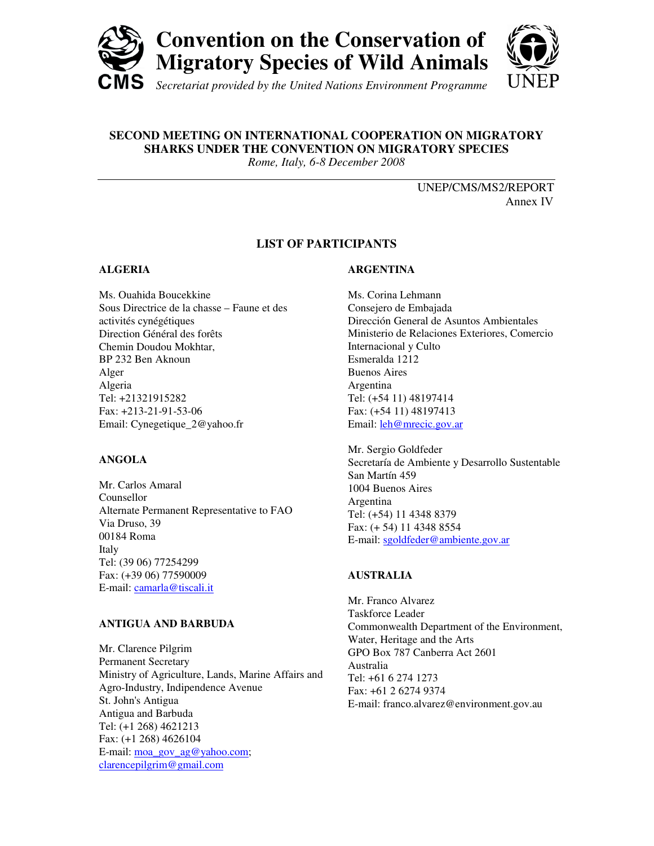

# **SECOND MEETING ON INTERNATIONAL COOPERATION ON MIGRATORY SHARKS UNDER THE CONVENTION ON MIGRATORY SPECIES**

*Rome, Italy, 6-8 December 2008*

UNEP/CMS/MS2/REPORT Annex IV

## **LIST OF PARTICIPANTS**

## **ALGERIA**

Ms. Ouahida Boucekkine Sous Directrice de la chasse – Faune et des activités cynégétiques Direction Général des forêts Chemin Doudou Mokhtar, BP 232 Ben Aknoun Alger Algeria Tel: +21321915282 Fax: +213-21-91-53-06 Email: Cynegetique\_2@yahoo.fr

## **ANGOLA**

Mr. Carlos Amaral Counsellor Alternate Permanent Representative to FAO Via Druso, 39 00184 Roma Italy Tel: (39 06) 77254299 Fax: (+39 06) 77590009 E-mail: camarla@tiscali.it

## **ANTIGUA AND BARBUDA**

Mr. Clarence Pilgrim Permanent Secretary Ministry of Agriculture, Lands, Marine Affairs and Agro-Industry, Indipendence Avenue St. John's Antigua Antigua and Barbuda Tel: (+1 268) 4621213 Fax: (+1 268) 4626104 E-mail: moa\_gov\_ag@yahoo.com; clarencepilgrim@gmail.com

## **ARGENTINA**

Ms. Corina Lehmann Consejero de Embajada Dirección General de Asuntos Ambientales Ministerio de Relaciones Exteriores, Comercio Internacional y Culto Esmeralda 1212 Buenos Aires Argentina Tel: (+54 11) 48197414 Fax: (+54 11) 48197413 Email: leh@mrecic.gov.ar

Mr. Sergio Goldfeder Secretaría de Ambiente y Desarrollo Sustentable San Martín 459 1004 Buenos Aires Argentina Tel: (+54) 11 4348 8379 Fax: (+ 54) 11 4348 8554 E-mail: sgoldfeder@ambiente.gov.ar

## **AUSTRALIA**

Mr. Franco Alvarez Taskforce Leader Commonwealth Department of the Environment, Water, Heritage and the Arts GPO Box 787 Canberra Act 2601 Australia Tel: +61 6 274 1273 Fax: +61 2 6274 9374 E-mail: franco.alvarez@environment.gov.au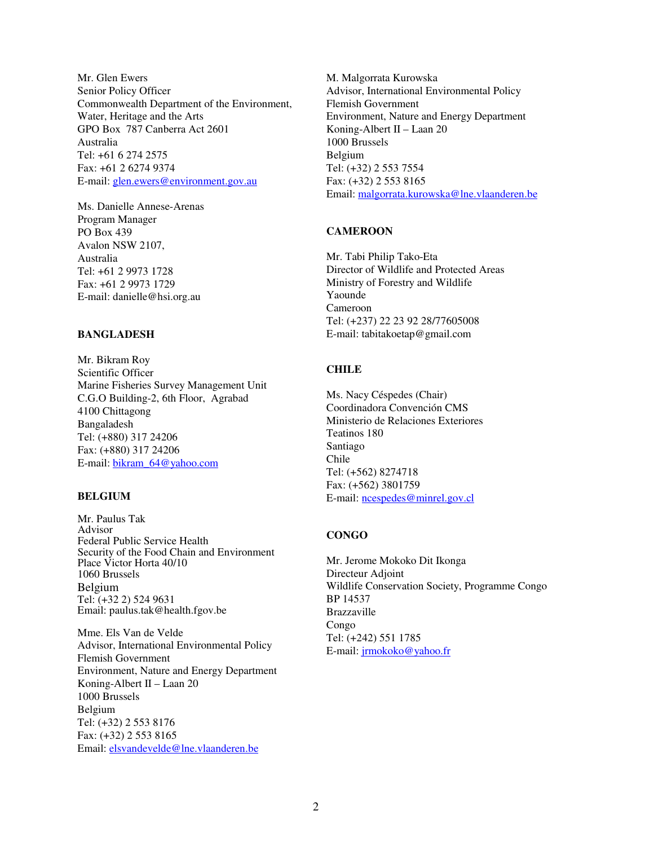Mr. Glen Ewers Senior Policy Officer Commonwealth Department of the Environment, Water, Heritage and the Arts GPO Box 787 Canberra Act 2601 Australia Tel: +61 6 274 2575 Fax: +61 2 6274 9374 E-mail: glen.ewers@environment.gov.au

Ms. Danielle Annese-Arenas Program Manager PO Box 439 Avalon NSW 2107, Australia Tel: +61 2 9973 1728 Fax: +61 2 9973 1729 E-mail: danielle@hsi.org.au

### **BANGLADESH**

Mr. Bikram Roy Scientific Officer Marine Fisheries Survey Management Unit C.G.O Building-2, 6th Floor, Agrabad 4100 Chittagong Bangaladesh Tel: (+880) 317 24206 Fax: (+880) 317 24206 E-mail: bikram\_64@yahoo.com

#### **BELGIUM**

Mr. Paulus Tak Advisor Federal Public Service Health Security of the Food Chain and Environment Place Victor Horta 40/10 1060 Brussels Belgium Tel: (+32 2) 524 9631 Email: paulus.tak@health.fgov.be

Mme. Els Van de Velde Advisor, International Environmental Policy Flemish Government Environment, Nature and Energy Department Koning-Albert II – Laan 20 1000 Brussels Belgium Tel: (+32) 2 553 8176 Fax: (+32) 2 553 8165 Email: elsvandevelde@lne.vlaanderen.be

M. Malgorrata Kurowska Advisor, International Environmental Policy Flemish Government Environment, Nature and Energy Department Koning-Albert II – Laan 20 1000 Brussels Belgium Tel: (+32) 2 553 7554 Fax: (+32) 2 553 8165 Email: malgorrata.kurowska@lne.vlaanderen.be

#### **CAMEROON**

Mr. Tabi Philip Tako-Eta Director of Wildlife and Protected Areas Ministry of Forestry and Wildlife Yaounde Cameroon Tel: (+237) 22 23 92 28/77605008 E-mail: tabitakoetap@gmail.com

#### **CHILE**

Ms. Nacy Céspedes (Chair) Coordinadora Convención CMS Ministerio de Relaciones Exteriores Teatinos 180 Santiago Chile Tel: (+562) 8274718 Fax: (+562) 3801759 E-mail: ncespedes@minrel.gov.cl

## **CONGO**

Mr. Jerome Mokoko Dit Ikonga Directeur Adjoint Wildlife Conservation Society, Programme Congo BP 14537 Brazzaville Congo Tel: (+242) 551 1785 E-mail: jrmokoko@yahoo.fr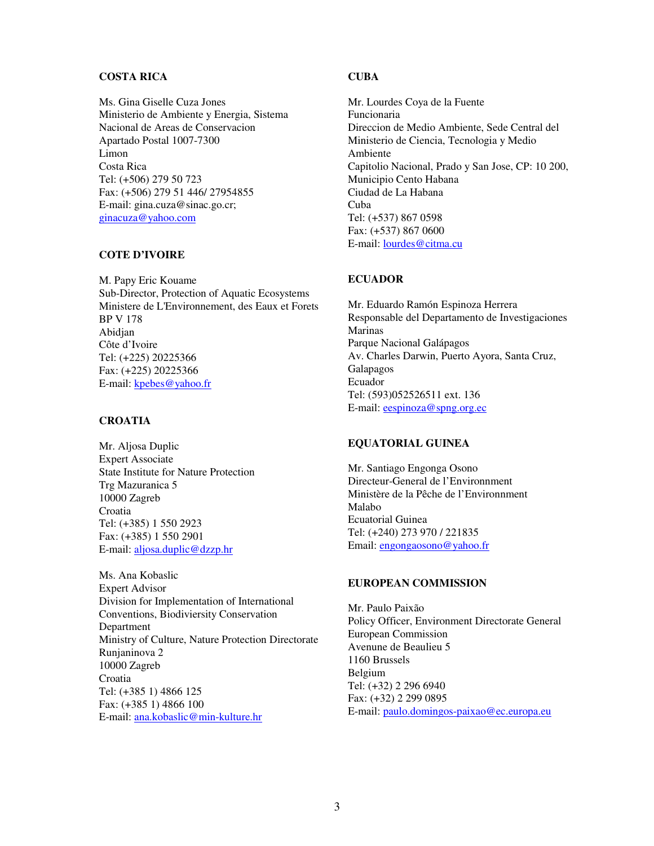#### **COSTA RICA**

Ms. Gina Giselle Cuza Jones Ministerio de Ambiente y Energia, Sistema Nacional de Areas de Conservacion Apartado Postal 1007-7300 Limon Costa Rica Tel: (+506) 279 50 723 Fax: (+506) 279 51 446/ 27954855 E-mail: gina.cuza@sinac.go.cr; ginacuza@yahoo.com

#### **COTE D'IVOIRE**

M. Papy Eric Kouame Sub-Director, Protection of Aquatic Ecosystems Ministere de L'Environnement, des Eaux et Forets BP V 178 Abidjan Côte d'Ivoire Tel: (+225) 20225366 Fax: (+225) 20225366 E-mail: kpebes@yahoo.fr

#### **CROATIA**

Mr. Aljosa Duplic Expert Associate State Institute for Nature Protection Trg Mazuranica 5 10000 Zagreb Croatia Tel: (+385) 1 550 2923 Fax: (+385) 1 550 2901 E-mail: aljosa.duplic@dzzp.hr

Ms. Ana Kobaslic Expert Advisor Division for Implementation of International Conventions, Biodiviersity Conservation Department Ministry of Culture, Nature Protection Directorate Runjaninova 2 10000 Zagreb Croatia Tel: (+385 1) 4866 125 Fax: (+385 1) 4866 100 E-mail: ana.kobaslic@min-kulture.hr

#### **CUBA**

Mr. Lourdes Coya de la Fuente Funcionaria Direccion de Medio Ambiente, Sede Central del Ministerio de Ciencia, Tecnologia y Medio Ambiente Capitolio Nacional, Prado y San Jose, CP: 10 200, Municipio Cento Habana Ciudad de La Habana Cuba Tel: (+537) 867 0598 Fax: (+537) 867 0600 E-mail: lourdes@citma.cu

#### **ECUADOR**

Mr. Eduardo Ramón Espinoza Herrera Responsable del Departamento de Investigaciones Marinas Parque Nacional Galápagos Av. Charles Darwin, Puerto Ayora, Santa Cruz, Galapagos Ecuador Tel: (593)052526511 ext. 136 E-mail: eespinoza@spng.org.ec

#### **EQUATORIAL GUINEA**

Mr. Santiago Engonga Osono Directeur-General de l'Environnment Ministère de la Pêche de l'Environnment Malabo Ecuatorial Guinea Tel: (+240) 273 970 / 221835 Email: engongaosono@yahoo.fr

## **EUROPEAN COMMISSION**

Mr. Paulo Paixão Policy Officer, Environment Directorate General European Commission Avenune de Beaulieu 5 1160 Brussels Belgium Tel: (+32) 2 296 6940 Fax: (+32) 2 299 0895 E-mail: paulo.domingos-paixao@ec.europa.eu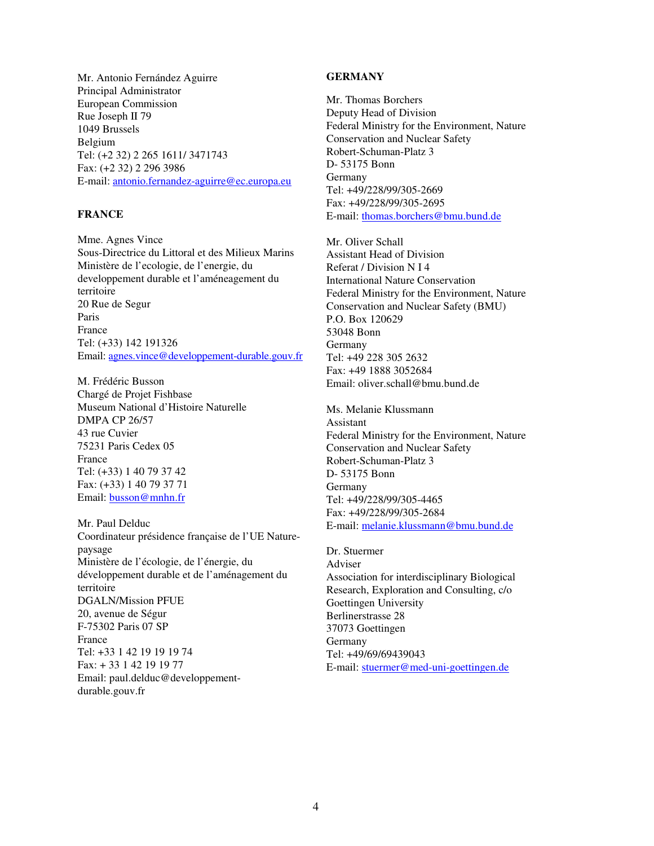#### **GERMANY**

Mr. Antonio Fernández Aguirre Principal Administrator European Commission Rue Joseph II 79 1049 Brussels Belgium Tel: (+2 32) 2 265 1611/ 3471743 Fax: (+2 32) 2 296 3986 E-mail: antonio.fernandez-aguirre@ec.europa.eu

#### **FRANCE**

Mme. Agnes Vince Sous-Directrice du Littoral et des Milieux Marins Ministère de l'ecologie, de l'energie, du developpement durable et l'améneagement du territoire 20 Rue de Segur Paris France Tel: (+33) 142 191326 Email: agnes.vince@developpement-durable.gouv.fr

M. Frédéric Busson Chargé de Projet Fishbase Museum National d'Histoire Naturelle DMPA CP 26/57 43 rue Cuvier 75231 Paris Cedex 05 France Tel: (+33) 1 40 79 37 42 Fax: (+33) 1 40 79 37 71 Email: busson@mnhn.fr

Mr. Paul Delduc Coordinateur présidence française de l'UE Naturepaysage Ministère de l'écologie, de l'énergie, du développement durable et de l'aménagement du territoire DGALN/Mission PFUE 20, avenue de Ségur F-75302 Paris 07 SP France Tel: +33 1 42 19 19 19 74 Fax: + 33 1 42 19 19 77 Email: paul.delduc@developpementdurable.gouv.fr

Mr. Thomas Borchers Deputy Head of Division Federal Ministry for the Environment, Nature Conservation and Nuclear Safety Robert-Schuman-Platz 3 D- 53175 Bonn Germany Tel: +49/228/99/305-2669 Fax: +49/228/99/305-2695 E-mail: thomas.borchers@bmu.bund.de

Mr. Oliver Schall Assistant Head of Division Referat / Division N I 4 International Nature Conservation Federal Ministry for the Environment, Nature Conservation and Nuclear Safety (BMU) P.O. Box 120629 53048 Bonn Germany Tel: +49 228 305 2632 Fax: +49 1888 3052684 Email: oliver.schall@bmu.bund.de

Ms. Melanie Klussmann Assistant Federal Ministry for the Environment, Nature Conservation and Nuclear Safety Robert-Schuman-Platz 3 D- 53175 Bonn Germany Tel: +49/228/99/305-4465 Fax: +49/228/99/305-2684 E-mail: melanie.klussmann@bmu.bund.de

Dr. Stuermer Adviser Association for interdisciplinary Biological Research, Exploration and Consulting, c/o Goettingen University Berlinerstrasse 28 37073 Goettingen Germany Tel: +49/69/69439043 E-mail: stuermer@med-uni-goettingen.de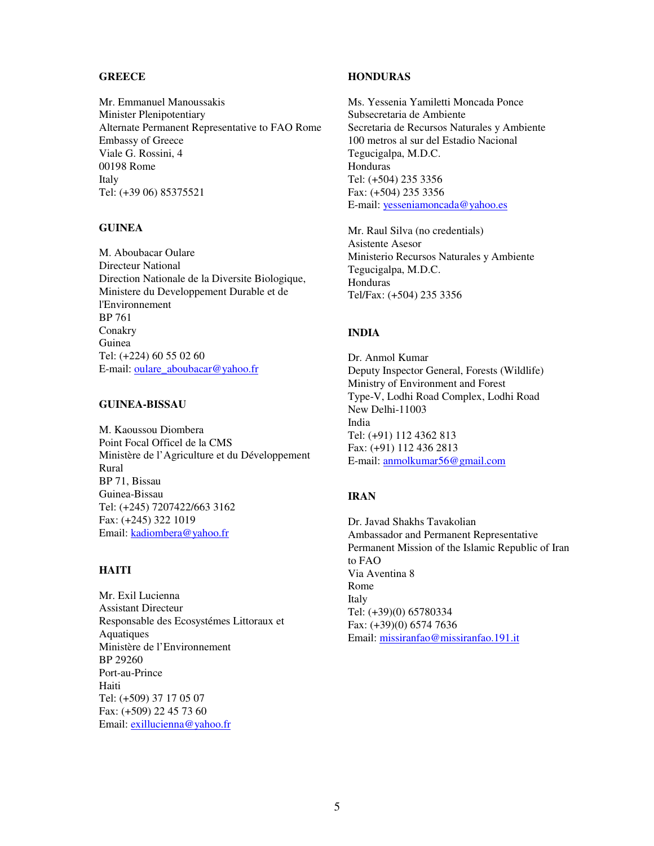#### **GREECE**

Mr. Emmanuel Manoussakis Minister Plenipotentiary Alternate Permanent Representative to FAO Rome Embassy of Greece Viale G. Rossini, 4 00198 Rome Italy Tel: (+39 06) 85375521

#### **GUINEA**

M. Aboubacar Oulare Directeur National Direction Nationale de la Diversite Biologique, Ministere du Developpement Durable et de l'Environnement BP 761 Conakry Guinea Tel: (+224) 60 55 02 60 E-mail: oulare\_aboubacar@yahoo.fr

#### **GUINEA-BISSAU**

M. Kaoussou Diombera Point Focal Officel de la CMS Ministère de l'Agriculture et du Développement Rural BP 71, Bissau Guinea-Bissau Tel: (+245) 7207422/663 3162 Fax: (+245) 322 1019 Email: kadiombera@yahoo.fr

## **HAITI**

Mr. Exil Lucienna Assistant Directeur Responsable des Ecosystémes Littoraux et Aquatiques Ministère de l'Environnement BP 29260 Port-au-Prince Haiti Tel: (+509) 37 17 05 07 Fax: (+509) 22 45 73 60 Email: exillucienna@yahoo.fr

#### **HONDURAS**

Ms. Yessenia Yamiletti Moncada Ponce Subsecretaria de Ambiente Secretaria de Recursos Naturales y Ambiente 100 metros al sur del Estadio Nacional Tegucigalpa, M.D.C. Honduras Tel: (+504) 235 3356 Fax: (+504) 235 3356 E-mail: yesseniamoncada@yahoo.es

Mr. Raul Silva (no credentials) Asistente Asesor Ministerio Recursos Naturales y Ambiente Tegucigalpa, M.D.C. Honduras Tel/Fax: (+504) 235 3356

### **INDIA**

Dr. Anmol Kumar Deputy Inspector General, Forests (Wildlife) Ministry of Environment and Forest Type-V, Lodhi Road Complex, Lodhi Road New Delhi-11003 India Tel: (+91) 112 4362 813 Fax: (+91) 112 436 2813 E-mail: anmolkumar56@gmail.com

## **IRAN**

Dr. Javad Shakhs Tavakolian Ambassador and Permanent Representative Permanent Mission of the Islamic Republic of Iran to FAO Via Aventina 8 Rome Italy Tel: (+39)(0) 65780334 Fax: (+39)(0) 6574 7636 Email: missiranfao@missiranfao.191.it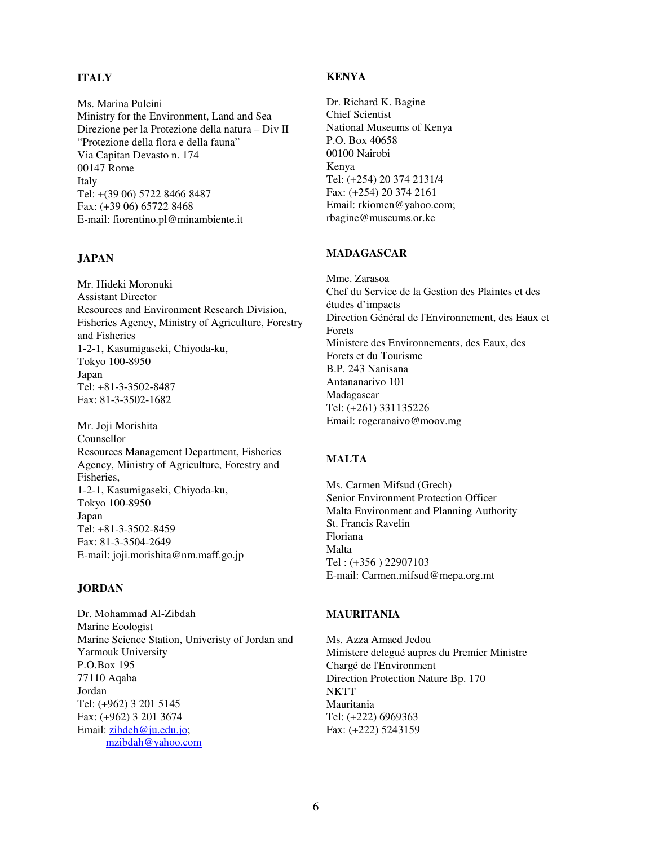## **ITALY**

Ms. Marina Pulcini Ministry for the Environment, Land and Sea Direzione per la Protezione della natura – Div II "Protezione della flora e della fauna" Via Capitan Devasto n. 174 00147 Rome Italy Tel: +(39 06) 5722 8466 8487 Fax: (+39 06) 65722 8468 E-mail: fiorentino.pl@minambiente.it

### **JAPAN**

Mr. Hideki Moronuki Assistant Director Resources and Environment Research Division, Fisheries Agency, Ministry of Agriculture, Forestry and Fisheries 1-2-1, Kasumigaseki, Chiyoda-ku, Tokyo 100-8950 Japan Tel: +81-3-3502-8487 Fax: 81-3-3502-1682

Mr. Joji Morishita Counsellor Resources Management Department, Fisheries Agency, Ministry of Agriculture, Forestry and Fisheries, 1-2-1, Kasumigaseki, Chiyoda-ku, Tokyo 100-8950 Japan Tel: +81-3-3502-8459 Fax: 81-3-3504-2649 E-mail: joji.morishita@nm.maff.go.jp

#### **JORDAN**

Dr. Mohammad Al-Zibdah Marine Ecologist Marine Science Station, Univeristy of Jordan and Yarmouk University P.O.Box 195 77110 Aqaba Jordan Tel: (+962) 3 201 5145 Fax: (+962) 3 201 3674 Email: zibdeh@ju.edu.jo; mzibdah@yahoo.com

#### **KENYA**

Dr. Richard K. Bagine Chief Scientist National Museums of Kenya P.O. Box 40658 00100 Nairobi Kenya Tel: (+254) 20 374 2131/4 Fax: (+254) 20 374 2161 Email: rkiomen@yahoo.com; rbagine@museums.or.ke

#### **MADAGASCAR**

Mme. Zarasoa Chef du Service de la Gestion des Plaintes et des études d'impacts Direction Général de l'Environnement, des Eaux et Forets Ministere des Environnements, des Eaux, des Forets et du Tourisme B.P. 243 Nanisana Antananarivo 101 Madagascar Tel: (+261) 331135226 Email: rogeranaivo@moov.mg

#### **MALTA**

Ms. Carmen Mifsud (Grech) Senior Environment Protection Officer Malta Environment and Planning Authority St. Francis Ravelin Floriana Malta Tel : (+356 ) 22907103 E-mail: Carmen.mifsud@mepa.org.mt

## **MAURITANIA**

Ms. Azza Amaed Jedou Ministere delegué aupres du Premier Ministre Chargé de l'Environment Direction Protection Nature Bp. 170 **NKTT** Mauritania Tel: (+222) 6969363 Fax: (+222) 5243159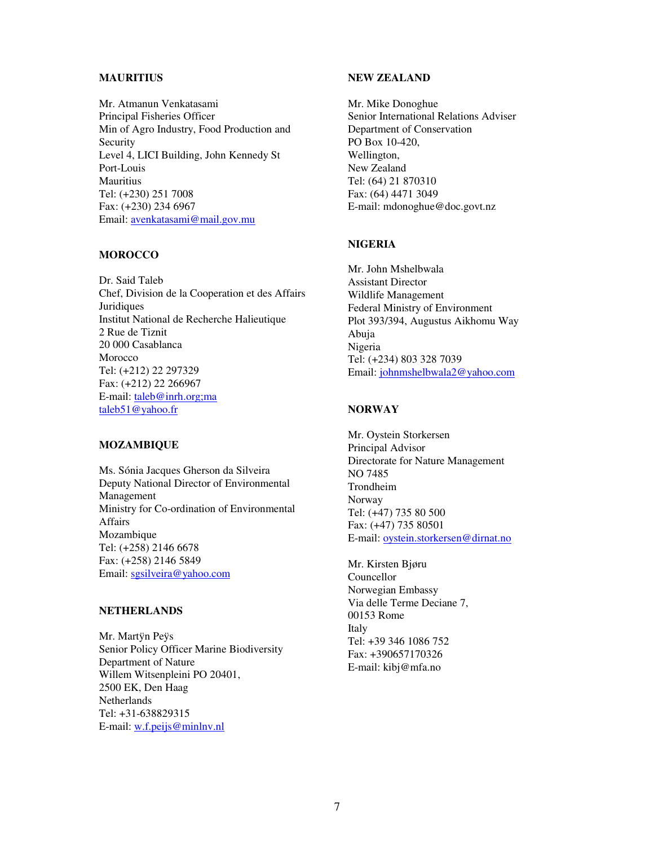#### **MAURITIUS**

Mr. Atmanun Venkatasami Principal Fisheries Officer Min of Agro Industry, Food Production and Security Level 4, LICI Building, John Kennedy St Port-Louis **Mauritius** Tel: (+230) 251 7008 Fax: (+230) 234 6967 Email: avenkatasami@mail.gov.mu

#### **MOROCCO**

Dr. Said Taleb Chef, Division de la Cooperation et des Affairs **Juridiques** Institut National de Recherche Halieutique 2 Rue de Tiznit 20 000 Casablanca Morocco Tel: (+212) 22 297329 Fax: (+212) 22 266967 E-mail: taleb@inrh.org;ma taleb51@yahoo.fr

#### **MOZAMBIQUE**

Ms. Sónia Jacques Gherson da Silveira Deputy National Director of Environmental Management Ministry for Co-ordination of Environmental Affairs Mozambique Tel: (+258) 2146 6678 Fax: (+258) 2146 5849 Email: sgsilveira@yahoo.com

## **NETHERLANDS**

Mr. Martÿn Peÿs Senior Policy Officer Marine Biodiversity Department of Nature Willem Witsenpleini PO 20401, 2500 EK, Den Haag Netherlands Tel: +31-638829315 E-mail: w.f.peijs@minlnv.nl

#### **NEW ZEALAND**

Mr. Mike Donoghue Senior International Relations Adviser Department of Conservation PO Box 10-420, Wellington, New Zealand Tel: (64) 21 870310 Fax: (64) 4471 3049 E-mail: mdonoghue@doc.govt.nz

#### **NIGERIA**

Mr. John Mshelbwala Assistant Director Wildlife Management Federal Ministry of Environment Plot 393/394, Augustus Aikhomu Way Abuja Nigeria Tel: (+234) 803 328 7039 Email: johnmshelbwala2@yahoo.com

#### **NORWAY**

Mr. Oystein Storkersen Principal Advisor Directorate for Nature Management NO 7485 Trondheim Norway Tel: (+47) 735 80 500 Fax: (+47) 735 80501 E-mail: oystein.storkersen@dirnat.no

Mr. Kirsten Bjøru Councellor Norwegian Embassy Via delle Terme Deciane 7, 00153 Rome Italy Tel: +39 346 1086 752 Fax: +390657170326 E-mail: kibj@mfa.no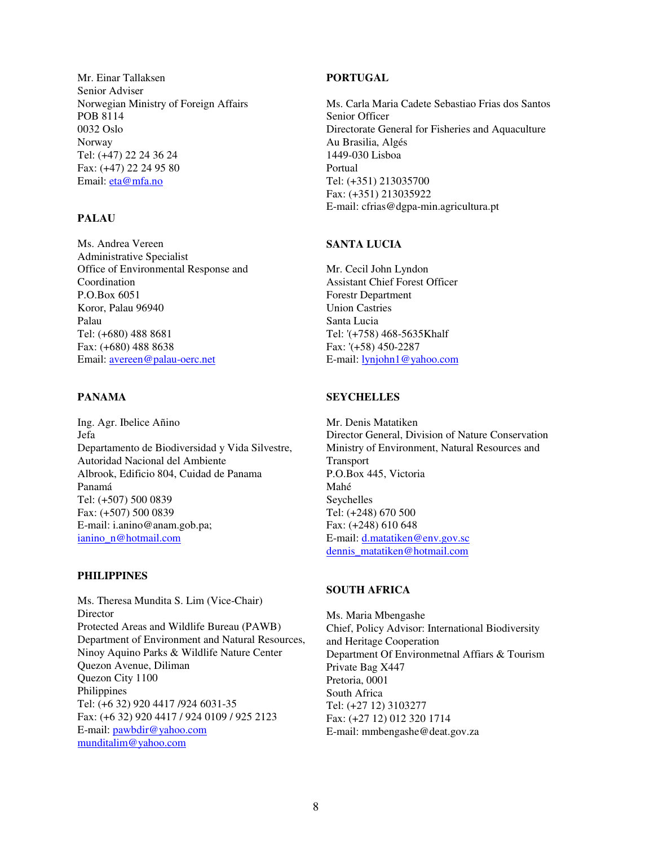Mr. Einar Tallaksen Senior Adviser Norwegian Ministry of Foreign Affairs POB 8114 0032 Oslo Norway Tel: (+47) 22 24 36 24 Fax: (+47) 22 24 95 80 Email: eta@mfa.no

## **PALAU**

Ms. Andrea Vereen Administrative Specialist Office of Environmental Response and Coordination P.O.Box 6051 Koror, Palau 96940 Palau Tel: (+680) 488 8681 Fax: (+680) 488 8638 Email: avereen@palau-oerc.net

### **PANAMA**

Ing. Agr. Ibelice Añino Jefa Departamento de Biodiversidad y Vida Silvestre, Autoridad Nacional del Ambiente Albrook, Edificio 804, Cuidad de Panama Panamá Tel: (+507) 500 0839 Fax: (+507) 500 0839 E-mail: i.anino@anam.gob.pa; ianino\_n@hotmail.com

#### **PHILIPPINES**

Ms. Theresa Mundita S. Lim (Vice-Chair) Director Protected Areas and Wildlife Bureau (PAWB) Department of Environment and Natural Resources, Ninoy Aquino Parks & Wildlife Nature Center Quezon Avenue, Diliman Quezon City 1100 Philippines Tel: (+6 32) 920 4417 /924 6031-35 Fax: (+6 32) 920 4417 / 924 0109 / 925 2123 E-mail: pawbdir@yahoo.com munditalim@yahoo.com

#### **PORTUGAL**

Ms. Carla Maria Cadete Sebastiao Frias dos Santos Senior Officer Directorate General for Fisheries and Aquaculture Au Brasilia, Algés 1449-030 Lisboa Portual Tel: (+351) 213035700 Fax: (+351) 213035922 E-mail: cfrias@dgpa-min.agricultura.pt

### **SANTA LUCIA**

Mr. Cecil John Lyndon Assistant Chief Forest Officer Forestr Department Union Castries Santa Lucia Tel: '(+758) 468-5635Khalf Fax: '(+58) 450-2287 E-mail: lynjohn1@yahoo.com

### **SEYCHELLES**

Mr. Denis Matatiken Director General, Division of Nature Conservation Ministry of Environment, Natural Resources and Transport P.O.Box 445, Victoria Mahé Seychelles Tel: (+248) 670 500 Fax: (+248) 610 648 E-mail: d.matatiken@env.gov.sc dennis\_matatiken@hotmail.com

#### **SOUTH AFRICA**

Ms. Maria Mbengashe Chief, Policy Advisor: International Biodiversity and Heritage Cooperation Department Of Environmetnal Affiars & Tourism Private Bag X447 Pretoria, 0001 South Africa Tel: (+27 12) 3103277 Fax: (+27 12) 012 320 1714 E-mail: mmbengashe@deat.gov.za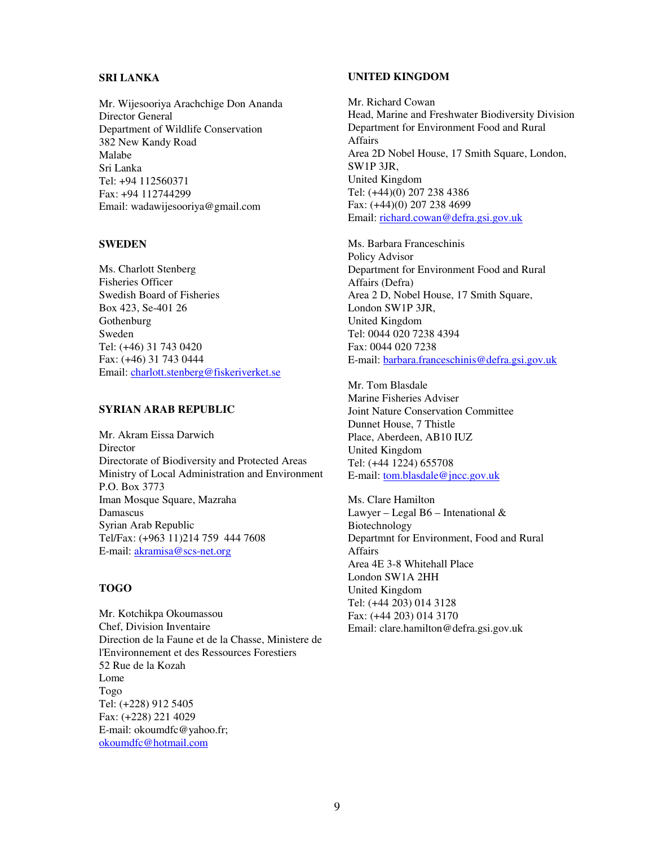#### **SRI LANKA**

Mr. Wijesooriya Arachchige Don Ananda Director General Department of Wildlife Conservation 382 New Kandy Road Malabe Sri Lanka Tel: +94 112560371 Fax: +94 112744299 Email: wadawijesooriya@gmail.com

#### **SWEDEN**

Ms. Charlott Stenberg Fisheries Officer Swedish Board of Fisheries Box 423, Se-401 26 Gothenburg Sweden Tel: (+46) 31 743 0420 Fax: (+46) 31 743 0444 Email: charlott.stenberg@fiskeriverket.se

#### **SYRIAN ARAB REPUBLIC**

Mr. Akram Eissa Darwich Director Directorate of Biodiversity and Protected Areas Ministry of Local Administration and Environment P.O. Box 3773 Iman Mosque Square, Mazraha Damascus Syrian Arab Republic Tel/Fax: (+963 11)214 759 444 7608 E-mail: akramisa@scs-net.org

#### **TOGO**

Mr. Kotchikpa Okoumassou Chef, Division Inventaire Direction de la Faune et de la Chasse, Ministere de l'Environnement et des Ressources Forestiers 52 Rue de la Kozah Lome Togo Tel: (+228) 912 5405 Fax: (+228) 221 4029 E-mail: okoumdfc@yahoo.fr; okoumdfc@hotmail.com

#### **UNITED KINGDOM**

Mr. Richard Cowan Head, Marine and Freshwater Biodiversity Division Department for Environment Food and Rural Affairs Area 2D Nobel House, 17 Smith Square, London, SW1P 3JR, United Kingdom Tel: (+44)(0) 207 238 4386 Fax: (+44)(0) 207 238 4699 Email: richard.cowan@defra.gsi.gov.uk

Ms. Barbara Franceschinis Policy Advisor Department for Environment Food and Rural Affairs (Defra) Area 2 D, Nobel House, 17 Smith Square, London SW1P 3JR, United Kingdom Tel: 0044 020 7238 4394 Fax: 0044 020 7238 E-mail: barbara.franceschinis@defra.gsi.gov.uk

Mr. Tom Blasdale Marine Fisheries Adviser Joint Nature Conservation Committee Dunnet House, 7 Thistle Place, Aberdeen, AB10 IUZ United Kingdom Tel: (+44 1224) 655708 E-mail: tom.blasdale@jncc.gov.uk

Ms. Clare Hamilton Lawyer – Legal B6 – Intenational  $\&$ Biotechnology Departmnt for Environment, Food and Rural Affairs Area 4E 3-8 Whitehall Place London SW1A 2HH United Kingdom Tel: (+44 203) 014 3128 Fax: (+44 203) 014 3170 Email: clare.hamilton@defra.gsi.gov.uk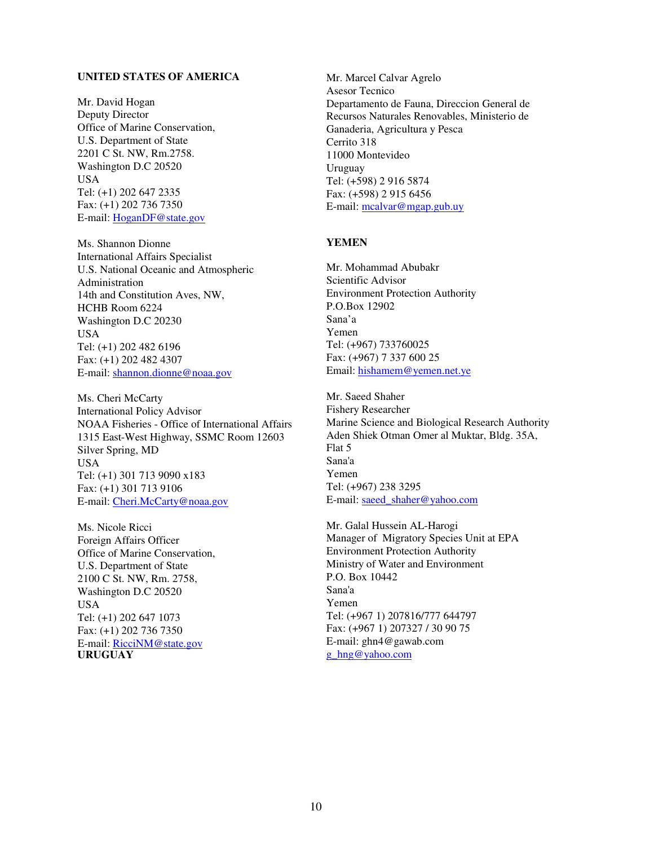#### **UNITED STATES OF AMERICA**

Mr. David Hogan Deputy Director Office of Marine Conservation, U.S. Department of State 2201 C St. NW, Rm.2758. Washington D.C 20520 USA Tel: (+1) 202 647 2335 Fax: (+1) 202 736 7350 E-mail: HoganDF@state.gov

Ms. Shannon Dionne International Affairs Specialist U.S. National Oceanic and Atmospheric Administration 14th and Constitution Aves, NW, HCHB Room 6224 Washington D.C 20230 USA Tel: (+1) 202 482 6196 Fax: (+1) 202 482 4307 E-mail: shannon.dionne@noaa.gov

Ms. Cheri McCarty International Policy Advisor NOAA Fisheries - Office of International Affairs 1315 East-West Highway, SSMC Room 12603 Silver Spring, MD USA Tel: (+1) 301 713 9090 x183 Fax: (+1) 301 713 9106 E-mail: Cheri.McCarty@noaa.gov

Ms. Nicole Ricci Foreign Affairs Officer Office of Marine Conservation, U.S. Department of State 2100 C St. NW, Rm. 2758, Washington D.C 20520 USA Tel: (+1) 202 647 1073 Fax: (+1) 202 736 7350 E-mail: RicciNM@state.gov **URUGUAY** 

Mr. Marcel Calvar Agrelo Asesor Tecnico Departamento de Fauna, Direccion General de Recursos Naturales Renovables, Ministerio de Ganaderia, Agricultura y Pesca Cerrito 318 11000 Montevideo Uruguay Tel: (+598) 2 916 5874 Fax: (+598) 2 915 6456 E-mail: mcalvar@mgap.gub.uy

#### **YEMEN**

Mr. Mohammad Abubakr Scientific Advisor Environment Protection Authority P.O.Box 12902 Sana'a Yemen Tel: (+967) 733760025 Fax: (+967) 7 337 600 25 Email: hishamem@yemen.net.ye

Mr. Saeed Shaher Fishery Researcher Marine Science and Biological Research Authority Aden Shiek Otman Omer al Muktar, Bldg. 35A, Flat 5 Sana'a Yemen Tel: (+967) 238 3295 E-mail: saeed\_shaher@yahoo.com

Mr. Galal Hussein AL-Harogi Manager of Migratory Species Unit at EPA Environment Protection Authority Ministry of Water and Environment P.O. Box 10442 Sana'a Yemen Tel: (+967 1) 207816/777 644797 Fax: (+967 1) 207327 / 30 90 75 E-mail: ghn4@gawab.com g\_hng@yahoo.com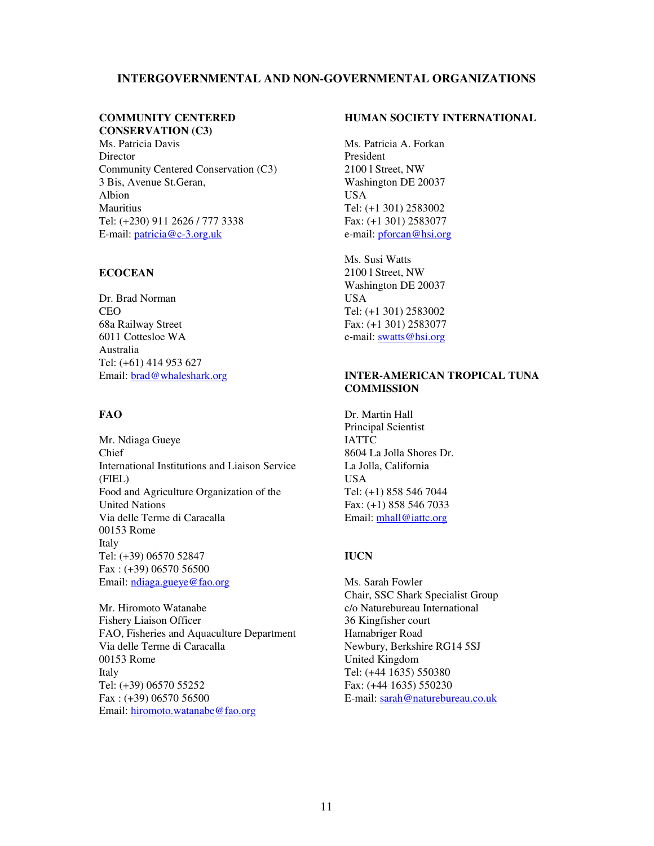### **INTERGOVERNMENTAL AND NON-GOVERNMENTAL ORGANIZATIONS**

## **COMMUNITY CENTERED CONSERVATION (C3)**

Ms. Patricia Davis **Director** Community Centered Conservation (C3) 3 Bis, Avenue St.Geran, Albion **Mauritius** Tel: (+230) 911 2626 / 777 3338 E-mail: patricia@c-3.org.uk

#### **ECOCEAN**

Dr. Brad Norman CEO 68a Railway Street 6011 Cottesloe WA Australia Tel: (+61) 414 953 627 Email: brad@whaleshark.org

### **FAO**

Mr. Ndiaga Gueye Chief International Institutions and Liaison Service (FIEL) Food and Agriculture Organization of the United Nations Via delle Terme di Caracalla 00153 Rome Italy Tel: (+39) 06570 52847 Fax : (+39) 06570 56500 Email: ndiaga.gueye@fao.org

Mr. Hiromoto Watanabe Fishery Liaison Officer FAO, Fisheries and Aquaculture Department Via delle Terme di Caracalla 00153 Rome Italy Tel: (+39) 06570 55252 Fax : (+39) 06570 56500 Email: hiromoto.watanabe@fao.org

#### **HUMAN SOCIETY INTERNATIONAL**

Ms. Patricia A. Forkan President 2100 l Street, NW Washington DE 20037 USA Tel: (+1 301) 2583002 Fax: (+1 301) 2583077 e-mail: *pforcan@hsi.org* 

Ms. Susi Watts 2100 l Street, NW Washington DE 20037 USA Tel: (+1 301) 2583002 Fax: (+1 301) 2583077 e-mail: swatts@hsi.org

### **INTER-AMERICAN TROPICAL TUNA COMMISSION**

Dr. Martin Hall Principal Scientist IATTC 8604 La Jolla Shores Dr. La Jolla, California USA Tel: (+1) 858 546 7044 Fax: (+1) 858 546 7033 Email: mhall@iattc.org

#### **IUCN**

Ms. Sarah Fowler Chair, SSC Shark Specialist Group c/o Naturebureau International 36 Kingfisher court Hamabriger Road Newbury, Berkshire RG14 5SJ United Kingdom Tel: (+44 1635) 550380 Fax: (+44 1635) 550230 E-mail: sarah@naturebureau.co.uk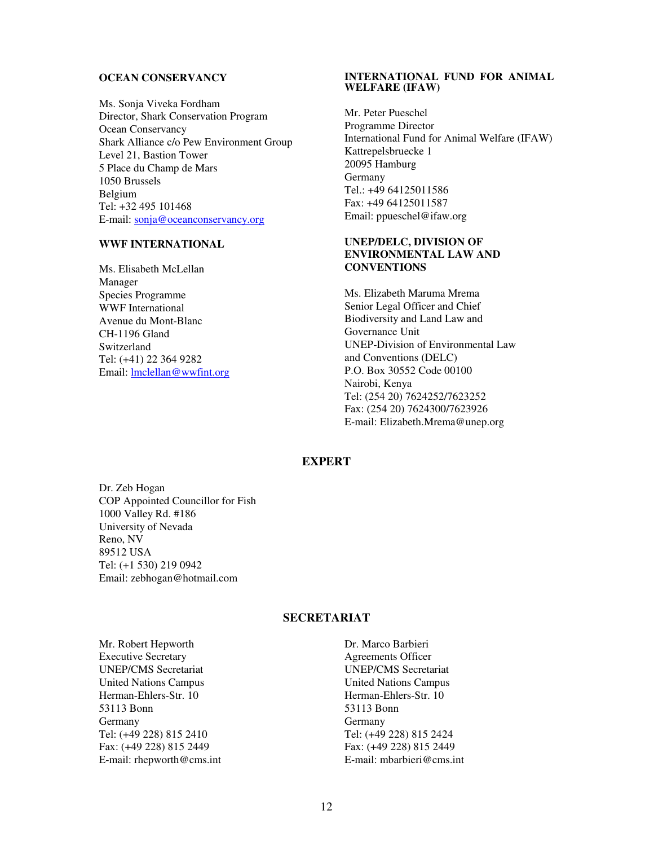#### **OCEAN CONSERVANCY**

Ms. Sonja Viveka Fordham Director, Shark Conservation Program Ocean Conservancy Shark Alliance c/o Pew Environment Group Level 21, Bastion Tower 5 Place du Champ de Mars 1050 Brussels Belgium Tel: +32 495 101468 E-mail: sonja@oceanconservancy.org

#### **WWF INTERNATIONAL**

Ms. Elisabeth McLellan Manager Species Programme WWF International Avenue du Mont-Blanc CH-1196 Gland Switzerland Tel: (+41) 22 364 9282 Email: lmclellan@wwfint.org

#### **INTERNATIONAL FUND FOR ANIMAL WELFARE (IFAW)**

Mr. Peter Pueschel Programme Director International Fund for Animal Welfare (IFAW) Kattrepelsbruecke 1 20095 Hamburg Germany Tel.: +49 64125011586 Fax: +49 64125011587 Email: ppueschel@ifaw.org

## **UNEP/DELC, DIVISION OF ENVIRONMENTAL LAW AND CONVENTIONS**

Ms. Elizabeth Maruma Mrema Senior Legal Officer and Chief Biodiversity and Land Law and Governance Unit UNEP-Division of Environmental Law and Conventions (DELC) P.O. Box 30552 Code 00100 Nairobi, Kenya Tel: (254 20) 7624252/7623252 Fax: (254 20) 7624300/7623926 E-mail: Elizabeth.Mrema@unep.org

## **EXPERT**

Dr. Zeb Hogan COP Appointed Councillor for Fish 1000 Valley Rd. #186 University of Nevada Reno, NV 89512 USA Tel: (+1 530) 219 0942 Email: zebhogan@hotmail.com

#### **SECRETARIAT**

Mr. Robert Hepworth Executive Secretary UNEP/CMS Secretariat United Nations Campus Herman-Ehlers-Str. 10 53113 Bonn Germany Tel: (+49 228) 815 2410 Fax: (+49 228) 815 2449 E-mail: rhepworth@cms.int

Dr. Marco Barbieri Agreements Officer UNEP/CMS Secretariat United Nations Campus Herman-Ehlers-Str. 10 53113 Bonn Germany Tel: (+49 228) 815 2424 Fax: (+49 228) 815 2449 E-mail: mbarbieri@cms.int